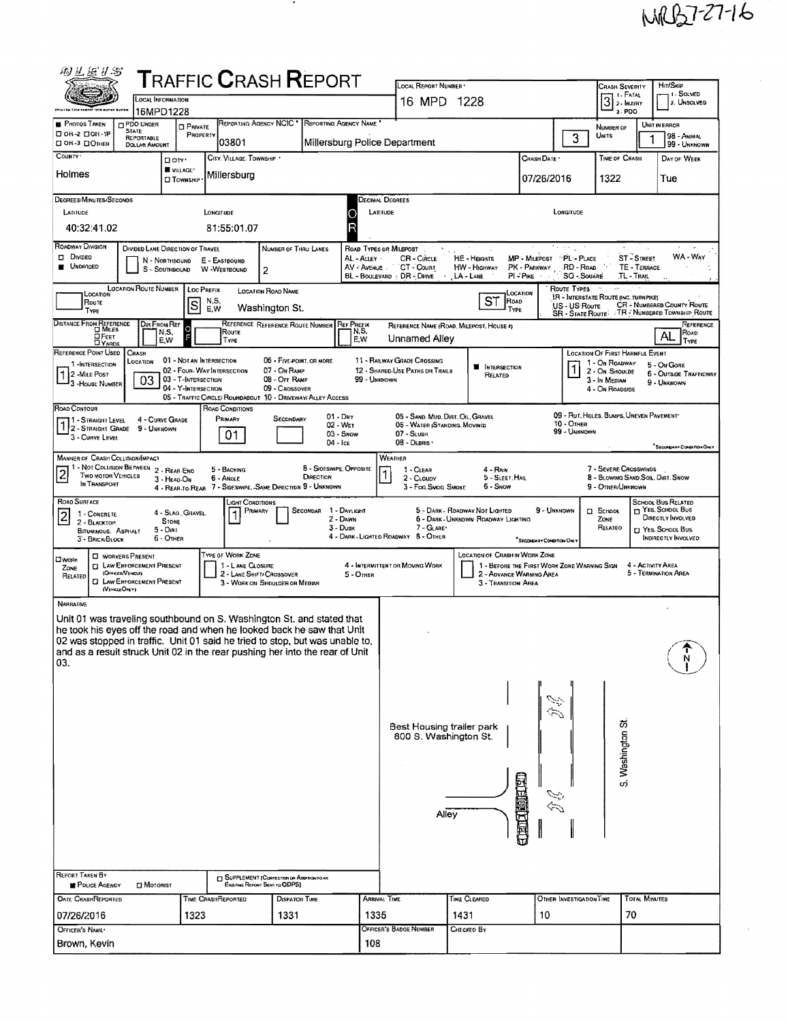## MAB7-27-16

 $\hat{\mathcal{L}}$ 

 $\bar{z}$ 

| 物汇运升器                                                                                                                                                                                                                                                                                                                                                                                                                |                                                                |                                                   |                               | <b>T</b> RAFFIC <b>C</b> RASH <b>R</b> EPORT                |                               |  |                              | LOCAL REPORT NUMBER                                                |                                                                       |                          |                                                          | <b>CRASH SEVERITY</b>                                    |                             | Hit/Skip                                                   |  |  |
|----------------------------------------------------------------------------------------------------------------------------------------------------------------------------------------------------------------------------------------------------------------------------------------------------------------------------------------------------------------------------------------------------------------------|----------------------------------------------------------------|---------------------------------------------------|-------------------------------|-------------------------------------------------------------|-------------------------------|--|------------------------------|--------------------------------------------------------------------|-----------------------------------------------------------------------|--------------------------|----------------------------------------------------------|----------------------------------------------------------|-----------------------------|------------------------------------------------------------|--|--|
|                                                                                                                                                                                                                                                                                                                                                                                                                      | <b>LOCAL INFORMATION</b><br>16MPD1228                          |                                                   |                               |                                                             |                               |  |                              | 16 MPD 1228                                                        |                                                                       |                          |                                                          | 3<br>$3 - PDO$                                           | 1 - FATAL<br>2 - INJURY     | 1 - SOLVED<br>2. Unsolved                                  |  |  |
| PHOTOS TAKEN                                                                                                                                                                                                                                                                                                                                                                                                         | PDO UNDER<br><b>STATE</b>                                      | <b>CI PRIVATE</b>                                 |                               | REPORTING AGENCY NCIC                                       |                               |  | <b>REPORTING AGENCY NAME</b> | UNIT IN ERROR<br>NUMBER OF                                         |                                                                       |                          |                                                          |                                                          |                             |                                                            |  |  |
| ⊡он-2 ⊟он-тР<br>пон-з полнек                                                                                                                                                                                                                                                                                                                                                                                         | <b>REPORTABLE</b><br><b>DOLLAR AMOUNT</b>                      | PROPERTY                                          |                               | 03801                                                       |                               |  |                              | Millersburg Police Department                                      |                                                                       |                          | 3                                                        | UNITS                                                    |                             | 98 - ANIMAL<br>99 - UNKNOWN                                |  |  |
| COUNTY '                                                                                                                                                                                                                                                                                                                                                                                                             |                                                                | <b>D</b> CITY'                                    |                               | CITY, VILLAGE, TOWNSHIP                                     |                               |  |                              |                                                                    |                                                                       | CRASH DATE *             |                                                          | TIME OF CRASH                                            |                             | DAY OF WEEK                                                |  |  |
| Holmes                                                                                                                                                                                                                                                                                                                                                                                                               |                                                                | VILLAGE*<br><b>CI TOWNSHIP</b>                    |                               | Millersburg                                                 |                               |  |                              |                                                                    |                                                                       |                          | 07/26/2016                                               | 1322                                                     |                             | Tue                                                        |  |  |
| DEGREES/MINUTES/SECONDS                                                                                                                                                                                                                                                                                                                                                                                              |                                                                |                                                   |                               |                                                             |                               |  | DECIMAL DEGREES              |                                                                    |                                                                       |                          |                                                          |                                                          |                             |                                                            |  |  |
| LATIUDE<br>40:32:41.02                                                                                                                                                                                                                                                                                                                                                                                               |                                                                |                                                   | LONGITUDE                     | 81:55:01.07                                                 |                               |  | LATITUDE                     |                                                                    |                                                                       |                          | LONGITUDE                                                |                                                          |                             |                                                            |  |  |
| ROADWAY DIVISION                                                                                                                                                                                                                                                                                                                                                                                                     | DIVIDED LANE DIRECTION OF TRAVEL                               |                                                   |                               |                                                             | NUMBER OF THRU LANES          |  | ROAD TYPES OR MILEPOST       |                                                                    |                                                                       |                          | $\overline{\mathcal{F}}$ and $\mathcal{F}_{\mathcal{F}}$ |                                                          |                             |                                                            |  |  |
| <b>DI DIVIDED</b><br><b>UNDIVIDED</b>                                                                                                                                                                                                                                                                                                                                                                                |                                                                | N - NORTHSQUND<br>S - SOUTHBOUND                  | E - EASTBOUND<br>W -WESTBOUND |                                                             |                               |  | AL - ALLEY<br>AV - AVENUE    | CR - CIRCLE<br>CT-Count                                            | HE - HEIGHTS<br>HW - HIGHWAY                                          | PK - PARKWAY             | MP - MILEPOST PL - PLACE<br>RD - Road                    |                                                          | ST - STREET<br>TE - TERRACE | WA - Way                                                   |  |  |
|                                                                                                                                                                                                                                                                                                                                                                                                                      |                                                                |                                                   |                               | $\overline{2}$                                              |                               |  |                              | BL - BOULEVARD : DR - DRIVE<br>$\cdot$                             | , LA - LANE                                                           | $PI - P$ <sub>KE</sub>   | <b>SO - SOUARE</b>                                       |                                                          | TL - Tras                   |                                                            |  |  |
| <b>LOCATION ROUTE NUMBER</b><br>ROUTE TYPES<br>LOC PREFIX<br><b>LOCATION ROAD NAME</b><br>LOCATION<br>LOCATION<br>IR - INTERSTATE ROUTE (INC. TURNPIKE)<br>ST<br>N,S,<br>ROAD<br>Route<br>S<br><b>CR - NUMBERED COUNTY ROUTE</b><br>US-US Route                                                                                                                                                                      |                                                                |                                                   |                               |                                                             |                               |  |                              |                                                                    |                                                                       |                          |                                                          |                                                          |                             |                                                            |  |  |
| Washington St.<br>E.W<br>TYPE<br>TYPE<br>SR - STATE ROUTE: TR - NUMBERED TOWNSHIP ROUTE<br>DISTANCE FROM REFERENCE<br>DIR FROM REF<br>REFERENCE REFERENCE ROUTE NUMBER<br><b>REF PREFIX</b><br>REFERENCE<br>REFERENCE NAME (ROAD, MILEPOST, HOUSE #)                                                                                                                                                                 |                                                                |                                                   |                               |                                                             |                               |  |                              |                                                                    |                                                                       |                          |                                                          |                                                          |                             |                                                            |  |  |
| $\circ$<br>N,S,<br>Roure<br>N,S,<br>Road<br>AL<br>□FEET<br>E.W<br>Unnamed Alley<br>E,W<br>TYPE<br>TYPE<br><b>DYARDS</b>                                                                                                                                                                                                                                                                                              |                                                                |                                                   |                               |                                                             |                               |  |                              |                                                                    |                                                                       |                          |                                                          |                                                          |                             |                                                            |  |  |
| REFERENCE POINT USED<br>1-INTERSECTION                                                                                                                                                                                                                                                                                                                                                                               | CRASH<br>LOCATION                                              | 01 - NOT AN INTERSECTION                          |                               |                                                             | 06 - FIVE POINT, OR MORE      |  |                              | <b>11 - RAILWAY GRADE CROSSING</b>                                 | <b>M</b> INTERSECTION                                                 |                          |                                                          | <b>LOCATION OF FIRST HARMFUL EVENT</b><br>1 - On ROADWAY |                             | 5 - On Gore                                                |  |  |
| 2 -MILE POST<br>3-HOUSE NUMBER                                                                                                                                                                                                                                                                                                                                                                                       | 03                                                             | 02 - FOUR-WAY INTERSECTION<br>03 - T-INTERSECTION |                               |                                                             | 07 - On Ramp<br>08 - Off RAMP |  | 99 - UNKNOWN                 | 12 - SHARED-USE PATHS OR TRAILS                                    | RELATED                                                               |                          | 1                                                        | 2 - On Shoulde<br>3 - In Median                          |                             | <b>6 - OUTSIDE TRAFFICWAY</b><br>9 - UNKNOWN               |  |  |
|                                                                                                                                                                                                                                                                                                                                                                                                                      |                                                                | 04 - Y-INTERSECTION                               |                               | 05 - TRAFFIC CIRCLE/ ROUNDABOUT 10 - DRIVEWAY/ ALLEY ACCESS | 09 - Crossover                |  |                              |                                                                    |                                                                       |                          |                                                          | 4 - On ROADSIDE                                          |                             |                                                            |  |  |
| ROAD CONTOUR<br>11 - Straight Level<br>1 - STRAIGHT LEVEL                                                                                                                                                                                                                                                                                                                                                            | 4 - CURVE GRADE                                                |                                                   |                               | <b>ROAD CONDITIONS</b><br>PRIMARY                           | SECONDARY                     |  | 01 - Day<br>02 - Wet         | 05 - SAND, MUD, DIRT, OIL, GRAVEL<br>05 - WATER (STANDING, MOVING) |                                                                       |                          | 10 - OTHER                                               | 09 - RUT, HOLES, BUMPS, UNEVEN PAVEMENT                  |                             |                                                            |  |  |
| 3 - CURVE LEVEL                                                                                                                                                                                                                                                                                                                                                                                                      | 9 - UNKNOWN                                                    |                                                   |                               | 01                                                          |                               |  | 03 - Snow                    | 07 - SLUSH<br>08 - DEBRIS                                          |                                                                       |                          | 99 - UNKNOWN                                             |                                                          |                             |                                                            |  |  |
| 04 - Ісе<br>SECONDARY CONDITION ONLY<br><b>MANNER OF CRASH COLLISION/IMPACT</b><br>WEATHER                                                                                                                                                                                                                                                                                                                           |                                                                |                                                   |                               |                                                             |                               |  |                              |                                                                    |                                                                       |                          |                                                          |                                                          |                             |                                                            |  |  |
| $+1 -$ Not Collision Between $-2 -$ Rear-End<br>8 - Sideswipe, Opposite<br>7 - SEVERE CROSSWINDS<br>5 - BACKING<br>1 - CLEAR<br>4 - RAIK<br>$\overline{\mathbf{c}}$<br><b>TWO MOTOR VEHICLES</b><br>DIRECTION<br>8 - BLOWING SAND, SOIL, DIRT, SNOW<br>5 - SLEET, HAIL<br>6 - Angle<br>2 - CLOUDY<br>3 - HEAD-ON<br>IN TRANSPORT<br>4 - REAR-TO-REAR 7 - SIDESWIPE, -SAME DIRECTION 9 - UNKNOWN<br>9 - OTHER/UNKNOWN |                                                                |                                                   |                               |                                                             |                               |  |                              |                                                                    |                                                                       |                          |                                                          |                                                          |                             |                                                            |  |  |
| ROAD SURFACE                                                                                                                                                                                                                                                                                                                                                                                                         |                                                                |                                                   |                               | ight Conditions.                                            |                               |  |                              | 3 - Fog.Smog.Smoke                                                 | 6 - Snow                                                              |                          |                                                          |                                                          |                             | <b>SCHOOL BUS RELATED</b>                                  |  |  |
| $\overline{2}$<br>1 - CONCRETE<br>2 - BLACKTOP.                                                                                                                                                                                                                                                                                                                                                                      |                                                                | 4 - Slao, Gravel.<br><b>STONE</b>                 |                               | PRIMARY                                                     | SECONDAR                      |  | 1 - DAYLIGHT<br>2 - DAWN     |                                                                    | 5 - DARK - ROADWAY NOT LIGHTED<br>6 - DARK - UNKNOWN ROADWAY LIGHTING |                          | 9 - UNKNOWN                                              | <b>D</b> School<br>ZONE                                  |                             | <b>TT YES. SCHOOL BUS</b><br><b>DIRECTLY INVOLVED</b>      |  |  |
| <b>BITUMINOUS, ASPHALT</b><br>3 - BRICK BLOCK                                                                                                                                                                                                                                                                                                                                                                        | 5 - Dirt                                                       | 6 - OTHER                                         |                               |                                                             |                               |  | $3 - D$ USK                  | 7 - GLARE*<br>4 - DARK - LIGHTED ROADWAY 8 - OTHER                 |                                                                       |                          | <sup>*</sup> SECONDARY CONDITION ON:                     | RELATEO                                                  |                             | <sup>1</sup> YES. SCHOOL BUS<br><b>INDIRECTLY INVOLVED</b> |  |  |
| <b>П</b> мояк                                                                                                                                                                                                                                                                                                                                                                                                        | <b>CI WORKERS PRESENT</b><br><b>CI LAW ENFORCEMENT PRESENT</b> |                                                   |                               | Type of Work Zone<br>1 - LANE CLOSURE                       |                               |  |                              | 4 - INTERMITTENT OR MOVING WORK                                    | LOCATION OF CRASH IN WORK ZONE                                        |                          | 1 - BEFORE THE FIRST WORK ZONE WARNING SIGN              |                                                          | 4 - ACTIVITY AREA           |                                                            |  |  |
| Zone<br>RELATED                                                                                                                                                                                                                                                                                                                                                                                                      | <b>(OFFICER/VENCER)</b><br><b>CI LAW ENFORCEMENT PRESENT</b>   |                                                   |                               | 2 - LANE SHIFT/ CROSSOVER<br>3 - WORK ON SHOULDER OR MEDIAN |                               |  | 5 - OTHER                    |                                                                    | 3 - TRANSITION AREA                                                   | 2 - ADVANCE WARNING AREA |                                                          |                                                          |                             | 5 - TERMINATION AREA                                       |  |  |
| (VEHICLEONLY)<br><b>NARRATIVE</b>                                                                                                                                                                                                                                                                                                                                                                                    |                                                                |                                                   |                               |                                                             |                               |  |                              |                                                                    |                                                                       |                          |                                                          |                                                          |                             |                                                            |  |  |
| Unit 01 was traveling southbound on S. Washington St. and stated that                                                                                                                                                                                                                                                                                                                                                |                                                                |                                                   |                               |                                                             |                               |  |                              |                                                                    |                                                                       |                          |                                                          |                                                          |                             |                                                            |  |  |
| he took his eyes off the road and when he looked back he saw that Unit<br>02 was stopped in traffic. Unit 01 said he tried to stop, but was unable to,                                                                                                                                                                                                                                                               |                                                                |                                                   |                               |                                                             |                               |  |                              |                                                                    |                                                                       |                          |                                                          |                                                          |                             |                                                            |  |  |
| and as a result struck Unit 02 in the rear pushing her into the rear of Unit<br>03.                                                                                                                                                                                                                                                                                                                                  |                                                                |                                                   |                               |                                                             |                               |  |                              |                                                                    |                                                                       |                          |                                                          |                                                          |                             | ٦,                                                         |  |  |
|                                                                                                                                                                                                                                                                                                                                                                                                                      |                                                                |                                                   |                               |                                                             |                               |  |                              |                                                                    |                                                                       |                          |                                                          |                                                          |                             |                                                            |  |  |
|                                                                                                                                                                                                                                                                                                                                                                                                                      |                                                                |                                                   |                               |                                                             |                               |  |                              |                                                                    |                                                                       |                          | $\approx$                                                |                                                          |                             |                                                            |  |  |
|                                                                                                                                                                                                                                                                                                                                                                                                                      |                                                                |                                                   |                               |                                                             |                               |  |                              |                                                                    |                                                                       |                          |                                                          |                                                          |                             |                                                            |  |  |
|                                                                                                                                                                                                                                                                                                                                                                                                                      |                                                                |                                                   |                               |                                                             |                               |  |                              | Best Housing trailer park<br>800 S. Washington St.                 |                                                                       |                          |                                                          | S. Washington St                                         |                             |                                                            |  |  |
|                                                                                                                                                                                                                                                                                                                                                                                                                      |                                                                |                                                   |                               |                                                             |                               |  |                              |                                                                    |                                                                       |                          |                                                          |                                                          |                             |                                                            |  |  |
|                                                                                                                                                                                                                                                                                                                                                                                                                      |                                                                |                                                   |                               |                                                             |                               |  |                              |                                                                    |                                                                       |                          |                                                          |                                                          |                             |                                                            |  |  |
|                                                                                                                                                                                                                                                                                                                                                                                                                      |                                                                |                                                   |                               |                                                             |                               |  |                              |                                                                    |                                                                       | 工商工厂商店门口                 |                                                          |                                                          |                             |                                                            |  |  |
|                                                                                                                                                                                                                                                                                                                                                                                                                      |                                                                |                                                   | Alley                         |                                                             |                               |  |                              |                                                                    |                                                                       |                          |                                                          |                                                          |                             |                                                            |  |  |
|                                                                                                                                                                                                                                                                                                                                                                                                                      |                                                                |                                                   |                               |                                                             |                               |  |                              |                                                                    |                                                                       |                          |                                                          |                                                          |                             |                                                            |  |  |
|                                                                                                                                                                                                                                                                                                                                                                                                                      |                                                                |                                                   |                               |                                                             |                               |  |                              |                                                                    |                                                                       |                          |                                                          |                                                          |                             |                                                            |  |  |
| REPORT TAKEN BY                                                                                                                                                                                                                                                                                                                                                                                                      |                                                                |                                                   |                               | SUPPLEMENT (CORRECTION OF ADDITION TO AN                    |                               |  |                              |                                                                    |                                                                       |                          |                                                          |                                                          |                             |                                                            |  |  |
| POLICE AGENCY<br><b>OATE CRASHREPORTED</b>                                                                                                                                                                                                                                                                                                                                                                           | <b>DI MOTORIST</b>                                             |                                                   | TIME CRASHREPORTED            | Existing Report Sent to ODPS)                               | Dispatch Time                 |  | ARRIVAL TIME                 |                                                                    | TIME CLEARED                                                          |                          | OTHER INVESTIGATION TIME                                 |                                                          | <b>TOTAL MINUTES</b>        |                                                            |  |  |
| 07/26/2016                                                                                                                                                                                                                                                                                                                                                                                                           |                                                                | 1323                                              |                               |                                                             | 1331                          |  | 1335                         |                                                                    | 1431                                                                  | 10                       |                                                          |                                                          | 70                          |                                                            |  |  |
| OFFICER'S NAME!                                                                                                                                                                                                                                                                                                                                                                                                      |                                                                |                                                   |                               |                                                             |                               |  | 108                          | OFFICER'S BADGE NUMBER                                             | Checked By                                                            |                          |                                                          |                                                          |                             |                                                            |  |  |
| Brown, Kevin                                                                                                                                                                                                                                                                                                                                                                                                         |                                                                |                                                   |                               |                                                             |                               |  |                              |                                                                    |                                                                       |                          |                                                          |                                                          |                             |                                                            |  |  |

 $\sim$  10  $\pm$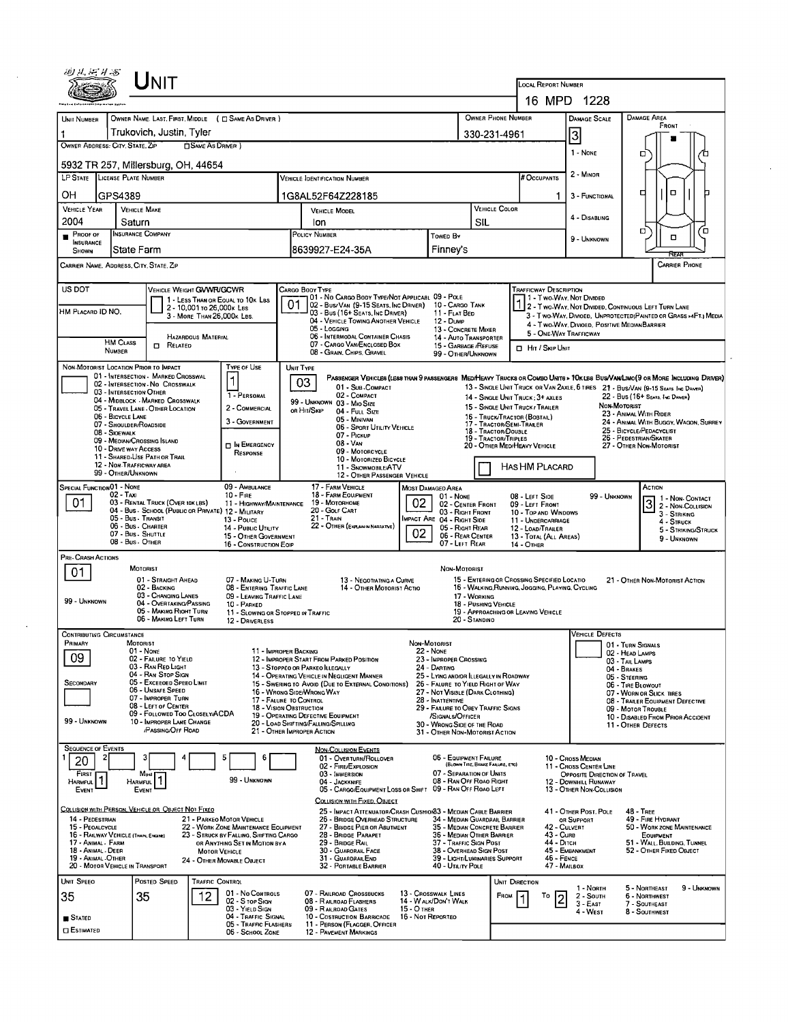|                                                                                                                                                                                                                                               |                                                              | UNIT                                                                        |                            |                                                                                |    |                                                                                                                                                                                                                                                                  |                                         |                                                                                   |                                      |                        |                                                                                                |                                                       |              |                                                                                                                       |                                    |  |  |
|-----------------------------------------------------------------------------------------------------------------------------------------------------------------------------------------------------------------------------------------------|--------------------------------------------------------------|-----------------------------------------------------------------------------|----------------------------|--------------------------------------------------------------------------------|----|------------------------------------------------------------------------------------------------------------------------------------------------------------------------------------------------------------------------------------------------------------------|-----------------------------------------|-----------------------------------------------------------------------------------|--------------------------------------|------------------------|------------------------------------------------------------------------------------------------|-------------------------------------------------------|--------------|-----------------------------------------------------------------------------------------------------------------------|------------------------------------|--|--|
|                                                                                                                                                                                                                                               |                                                              |                                                                             |                            |                                                                                |    |                                                                                                                                                                                                                                                                  |                                         |                                                                                   |                                      |                        | <b>LOCAL REPORT NUMBER</b>                                                                     |                                                       |              |                                                                                                                       |                                    |  |  |
|                                                                                                                                                                                                                                               |                                                              |                                                                             |                            |                                                                                |    |                                                                                                                                                                                                                                                                  |                                         |                                                                                   |                                      |                        | 16 MPD 1228                                                                                    |                                                       |              |                                                                                                                       |                                    |  |  |
| UNIT NUMBER                                                                                                                                                                                                                                   |                                                              |                                                                             |                            | OWNER NAME. LAST, FIRST, MIDDLE ( C SAME AS DRIVER )                           |    |                                                                                                                                                                                                                                                                  |                                         |                                                                                   | OWNER PHONE NUMBER                   |                        |                                                                                                | <b>DAMAGE SCALE</b>                                   |              | <b>DAMAGE AREA</b><br>FRONT                                                                                           |                                    |  |  |
| OWNER ADDRESS: CITY, STATE, ZIP                                                                                                                                                                                                               |                                                              | Trukovich, Justin, Tyler                                                    | <b>OSAME AS DRIVER</b>     |                                                                                |    |                                                                                                                                                                                                                                                                  |                                         |                                                                                   | 330-231-4961                         |                        |                                                                                                | $\overline{3}$                                        |              |                                                                                                                       |                                    |  |  |
|                                                                                                                                                                                                                                               |                                                              | 5932 TR 257, Millersburg, OH, 44654                                         |                            |                                                                                |    |                                                                                                                                                                                                                                                                  |                                         |                                                                                   |                                      |                        |                                                                                                | 1 - NONE                                              |              | □                                                                                                                     |                                    |  |  |
| LP STATE LICENSE PLATE NUMBER                                                                                                                                                                                                                 |                                                              |                                                                             |                            |                                                                                |    | <b>VEHICLE IDENTIFICATION NUMBER</b>                                                                                                                                                                                                                             |                                         |                                                                                   |                                      |                        | <b>FOCCUPANTS</b>                                                                              | 2 - MINOR                                             |              |                                                                                                                       |                                    |  |  |
| OН                                                                                                                                                                                                                                            | GPS4389                                                      |                                                                             |                            |                                                                                |    | 1G8AL52F64Z228185                                                                                                                                                                                                                                                |                                         |                                                                                   |                                      |                        | 1.                                                                                             | 3 - FUNCTIONAL                                        |              | $\Box$<br>◻                                                                                                           |                                    |  |  |
| <b>VEHICLE YEAR</b>                                                                                                                                                                                                                           |                                                              | <b>VEHICLE MAKE</b>                                                         |                            |                                                                                |    | <b>VEHICLE MODEL</b>                                                                                                                                                                                                                                             |                                         |                                                                                   | <b>VEHICLE COLOR</b>                 |                        |                                                                                                | 4 - DISABLING                                         |              |                                                                                                                       |                                    |  |  |
| 2004<br>Proof of                                                                                                                                                                                                                              | Saturn                                                       | <b>INSURANCE COMPANY</b>                                                    |                            |                                                                                |    | lon<br>POLICY NUMBER                                                                                                                                                                                                                                             |                                         |                                                                                   | SIL                                  |                        |                                                                                                |                                                       |              | □                                                                                                                     | ′ □                                |  |  |
| <b>INSURANCE</b><br>SHOWN                                                                                                                                                                                                                     |                                                              | State Farm                                                                  |                            |                                                                                |    | 8639927-E24-35A                                                                                                                                                                                                                                                  |                                         | TowED By<br>Finney's                                                              |                                      |                        |                                                                                                | 9 - UNKNOWN                                           |              | □                                                                                                                     |                                    |  |  |
| CARRIER NAME, ADDRESS, CITY, STATE, ZIP                                                                                                                                                                                                       |                                                              |                                                                             |                            |                                                                                |    |                                                                                                                                                                                                                                                                  |                                         |                                                                                   |                                      |                        |                                                                                                |                                                       |              | REA                                                                                                                   | <b>CARRIER PHONE</b>               |  |  |
| US DOT                                                                                                                                                                                                                                        |                                                              | VEHICLE WEIGHT GVWFUGCWR                                                    |                            |                                                                                |    | CARGO BODY TYPE                                                                                                                                                                                                                                                  |                                         |                                                                                   |                                      |                        | <b>TRAFFICWAY DESCRIPTION</b>                                                                  |                                                       |              |                                                                                                                       |                                    |  |  |
| HM PLACARD ID NO.                                                                                                                                                                                                                             |                                                              |                                                                             | 2 - 10,001 to 26,000 k Les | 1 - LESS THAN OR EQUAL TO 10K LBS                                              | 01 | 101 - No Cargo Body Type/Not Applicabl 09 - Pole<br>02 - Bus/Van (9-15 Seats, Inc Driver) 10 - Cargo Tank                                                                                                                                                        |                                         |                                                                                   |                                      |                        | 1 - Two-Way, Not Divided                                                                       |                                                       |              | 2 - Two Way, Not Divided, Continuous Left Turn Lane                                                                   |                                    |  |  |
|                                                                                                                                                                                                                                               |                                                              |                                                                             | 3 - MORE THAN 26,000K LBS. |                                                                                |    | 03 - Bus (16+ SEATS, INC DRIVER)<br>11 - FLAT BED<br>3 - Two-Way, Divided, UNPROTECTED(PAINTED OR GRASS >4FT.) MEDIA<br>04 - VEHICLE TOWING ANOTHER VEHICLE<br>12 - Dump<br>4 - Two-Way, Divided, Positive Median Barrier<br>05 - Locging<br>13 - CONCRETE MIXER |                                         |                                                                                   |                                      |                        |                                                                                                |                                                       |              |                                                                                                                       |                                    |  |  |
|                                                                                                                                                                                                                                               | HM CLASS                                                     | $\Box$<br>RELATED                                                           | HAZARDOUS MATERIAL         |                                                                                |    | 06 - INTERMODAL CONTAINER CHASIS<br>07 - CARGO VAN/ENCLOSED BOX                                                                                                                                                                                                  |                                         | 14 - AUTO TRANSPORTER<br>15 - GARBAGE / REFUSE                                    |                                      | 5 - ONE-WAY TRAFFICWAY |                                                                                                |                                                       |              |                                                                                                                       |                                    |  |  |
|                                                                                                                                                                                                                                               | NUMBER                                                       |                                                                             |                            |                                                                                |    | 08 - GRAIN, CHIPS, GRAVEL                                                                                                                                                                                                                                        |                                         | 99 - OTHER/UNKNOWN                                                                |                                      |                        | <b>D</b> Hit / SKIP UNIT                                                                       |                                                       |              |                                                                                                                       |                                    |  |  |
| NON-MOTORIST LOCATION PRIOR TO IMPACT<br>TYPE OF USE<br>UNIT TYPE<br>01 - INTERSECTION - MARKED CROSSWAL<br>PASSENGER VEHICLES (LESS THAN 9 PASSENGERS MED/HEAVY TRUCKS OR COMBO UNITS > 10KLES BUS/VAN/LIMO(9 OR MORE INCLUDING DRIVER)<br>1 |                                                              |                                                                             |                            |                                                                                |    |                                                                                                                                                                                                                                                                  |                                         |                                                                                   |                                      |                        |                                                                                                |                                                       |              |                                                                                                                       |                                    |  |  |
|                                                                                                                                                                                                                                               | 03 - INTERSECTION OTHER                                      | 02 - INTERSECTION - NO CROSSWALK                                            |                            | 1 - PERSONAL                                                                   |    | 03<br>01 - SUB-COMPACT<br>02 - COMPACT                                                                                                                                                                                                                           |                                         |                                                                                   |                                      |                        | 14 - SINGLE UNIT TRUCK ; 3+ AXLES                                                              |                                                       |              | 13 - SINGLE UNIT TRUCK OR VAN 2AXLE, 6 TIRES 21 - BUS/VAN (9-15 SEATS INC DRIVER)<br>22 - Bus (16+ Seats, Inc Driver) |                                    |  |  |
|                                                                                                                                                                                                                                               |                                                              | 04 - MIDBLOCK - MARKED CROSSWALK<br>05 - TRAVEL LANE - OTHER LOCATION       |                            | 2 - COMMERCIAL                                                                 |    | 99 - UNKNOWN 03 - MIO SIZE<br>OR HIT/SKIP<br>04 - Full Size                                                                                                                                                                                                      |                                         |                                                                                   |                                      |                        | 15 - SINGLE UNIT TRUCK / TRAILER                                                               |                                                       | NON-MOTORIST | 23 - ANIMAL WITH RIDER                                                                                                |                                    |  |  |
|                                                                                                                                                                                                                                               | 06 - BICYCLE LANE<br>07 - SHOULDER/ROADSIDE<br>08 - SIOEWALK |                                                                             |                            | 3 - GOVERNMENT                                                                 |    | 05 - MINIVAN<br>06 - SPORT UTILITY VEHICLE                                                                                                                                                                                                                       |                                         |                                                                                   | 18 - TRACTOR/DOUBLE                  |                        | 16 - TRUCK/TRACTOR (BOBTAIL)<br>17 - TRACTOR/SEMI-TRAILER                                      |                                                       |              | 24 - ANIMAL WITH BUGGY, WAGON, SURREY<br>25 - BICYCLE/PEDACYCLIST                                                     |                                    |  |  |
|                                                                                                                                                                                                                                               | 10 - DRIVE WAY ACCESS                                        | 09 - MEOIAN/CROSSING ISLAND                                                 |                            | <b>n</b> In EMERGENCY                                                          |    | 07 - Pickup<br>$08 - VAN$                                                                                                                                                                                                                                        |                                         |                                                                                   | 19 - TRACTOR/TRIPLES                 |                        | 20 - OTHER MED/HEAVY VEHICLE                                                                   |                                                       |              | 26 - Pedestrian/Skater<br>27 - OTHER NON-MOTORIST                                                                     |                                    |  |  |
|                                                                                                                                                                                                                                               |                                                              | 11 - SHARED-USE PATH OR TRAIL<br>12 - NON-TRAFFICWAY AREA                   |                            | RESPONSE                                                                       |    | 09 - MOTORCYCLE<br>10 - Motorized Bicycle<br><b>HAS HM PLACARD</b><br>11 - SNOWMOBILE/ATV                                                                                                                                                                        |                                         |                                                                                   |                                      |                        |                                                                                                |                                                       |              |                                                                                                                       |                                    |  |  |
|                                                                                                                                                                                                                                               | 99 - OTHER/UNKNOWN                                           |                                                                             |                            |                                                                                |    | 12 - OTHER PASSENGER VEHICLE                                                                                                                                                                                                                                     |                                         |                                                                                   |                                      |                        |                                                                                                |                                                       |              |                                                                                                                       |                                    |  |  |
| SPECIAL FUNCTION 01 - NONE<br>09 - AMBULANCE<br>02 - Taxi<br>$10 -$ Fine<br>03 - RENTAL TRUCK (OVER 10KLBS)                                                                                                                                   |                                                              |                                                                             |                            |                                                                                |    | 17 - FARM VEHICLE<br>18 - FARM EQUIPMENT<br>19 - Мотопноме                                                                                                                                                                                                       | 02                                      | MOST DAMAGED AREA<br>01 - None                                                    |                                      |                        | 08 - LEFT SIDE                                                                                 |                                                       | 99 - Unknown | ACTION                                                                                                                | 1 - Non Contact                    |  |  |
| 01                                                                                                                                                                                                                                            |                                                              | 04 - Bus - School (Public or Private) 12 - MILITARY<br>05 - Bus - Transit   |                            | 11 - HIGHWAY/MAINTENANCE<br>13 - Pouce                                         |    | 20 - GOLF CART<br>21 TRAIN                                                                                                                                                                                                                                       |                                         | 02 - CENTER FRONT<br>03 - Right Front<br>IMPACT ARE 04 - RIGHT SIDE               |                                      |                        | 09 - LEFT FRONT<br>10 - TOP AND WINDOWS<br>11 - UNDERCARRIAGE                                  |                                                       |              |                                                                                                                       | 2 - Non-Collision<br>3 - STRIKING  |  |  |
|                                                                                                                                                                                                                                               |                                                              | 06 - Bus - Charter<br>07 - Bus - SHUTTLE                                    |                            | 14 - PUBLIC UTILITY<br>15 - OTHER GOVERNMENT                                   |    | 22 - OTHER (EXPLANIN NARRATIVE)                                                                                                                                                                                                                                  | 02                                      | 05 - Right Rear<br>06 - REAR CENTER                                               |                                      |                        | 12 - LOAD/TRAILER<br>13 - TOTAL (ALL AREAS)                                                    |                                                       |              | 4 - Struck                                                                                                            | 5 - STRIKING/STRUCK<br>9 - UNKNOWN |  |  |
|                                                                                                                                                                                                                                               | 08 - Bus - OTHER                                             |                                                                             |                            | 16 - CONSTRUCTION EQIP                                                         |    |                                                                                                                                                                                                                                                                  |                                         | 07 - LEFT REAR                                                                    |                                      |                        | <b>14 - OTHER</b>                                                                              |                                                       |              |                                                                                                                       |                                    |  |  |
| PRE-CRASH ACTIONS<br>01                                                                                                                                                                                                                       |                                                              | MOTORIST                                                                    |                            |                                                                                |    |                                                                                                                                                                                                                                                                  |                                         | NON-MOTORIST                                                                      |                                      |                        |                                                                                                |                                                       |              |                                                                                                                       |                                    |  |  |
|                                                                                                                                                                                                                                               |                                                              | 01 - STRAIGHT AHEAD<br>02 - BACKING                                         |                            | 07 - MAKING U-TURN<br>08 - ENTERING TRAFFIC LANE                               |    | 13 - NEGOTIATING A CURVE<br>14 - OTHER MOTORIST ACTIO                                                                                                                                                                                                            |                                         |                                                                                   |                                      |                        | 15 - ENTERING OR CROSSING SPECIFIED LOCATIO<br>16 - WALKING RUNNING, JOGGING, PLAYING, CYCLING |                                                       |              | 21 - OTHER NON-MOTORIST ACTION                                                                                        |                                    |  |  |
| 99 - UNKNOWN                                                                                                                                                                                                                                  |                                                              | 03 - CHANGING LANES<br>04 - OVERTAKING/PASSING                              |                            | 09 - LEAVING TRAFFIC LANE<br>10 - PARKED                                       |    |                                                                                                                                                                                                                                                                  |                                         |                                                                                   | 17 - WORKING<br>18 - PUSHING VEHICLE |                        |                                                                                                |                                                       |              |                                                                                                                       |                                    |  |  |
|                                                                                                                                                                                                                                               |                                                              | 05 - MAKING RIOHT TURN<br>06 - MAKING LEFT TURN                             |                            | 11 - SLOWING OR STOPPED IN TRAFFIC<br>12 - DRIVERLESS                          |    |                                                                                                                                                                                                                                                                  |                                         |                                                                                   | 20 - STANDINO                        |                        | 19 - APPROACHING OR LEAVING VEHICLE                                                            |                                                       |              |                                                                                                                       |                                    |  |  |
| <b>CONTRIBUTING CIRCUMSTANCE</b><br>Primary                                                                                                                                                                                                   |                                                              | Motorist                                                                    |                            |                                                                                |    |                                                                                                                                                                                                                                                                  |                                         | Non-Motorist                                                                      |                                      |                        |                                                                                                | <b>VEHICLE DEFECTS</b>                                |              |                                                                                                                       |                                    |  |  |
| 09                                                                                                                                                                                                                                            |                                                              | 01 - None<br>02 - FAILURE TO YIELD                                          |                            | 11 - IMPROPER BACKING                                                          |    | 12 - IMPROPER START FROM PARKED POSITION                                                                                                                                                                                                                         |                                         | <b>22 - NONE</b><br>23 - IMPROPER CROSSING                                        |                                      |                        |                                                                                                |                                                       |              | 01 - TURN SIGNALS<br>02 - HEAD LAMPS<br>03 - TAIL LAMPS                                                               |                                    |  |  |
|                                                                                                                                                                                                                                               |                                                              | 03 - RAN RED LIGHT<br>04 - RAN STOP SIGN                                    |                            |                                                                                |    | 13 - Stoppeo or Parkeo Illegally<br>14 - OPERATING VEHICLE IN NEGLIGENT MANNER                                                                                                                                                                                   |                                         | 24 - DARTING<br>25 - LYING AND/OR ILLEGALLY IN ROADWAY                            |                                      |                        |                                                                                                |                                                       | 04 - BRAKES  | 05 - STEERING                                                                                                         |                                    |  |  |
| <b>SECONDARY</b>                                                                                                                                                                                                                              |                                                              | 05 - Exceeded Speed Limit<br>06 - Unsafe Speed                              |                            |                                                                                |    | 15 - Swering to Avoid (Due to External Conditions)<br>16 - WRONG SIDE/WRONG WAY                                                                                                                                                                                  |                                         | 26 - FALURE TO YIELD RIGHT OF WAY<br>27 - NOT VISIBLE (DARK CLOTHING)             |                                      |                        |                                                                                                |                                                       |              | 06 - TIRE BLOWOUT<br>07 - WORN OR SLICK TIRES                                                                         |                                    |  |  |
|                                                                                                                                                                                                                                               |                                                              | 07 - IMPROPER TURN<br>08 - LEFT OF CENTER<br>09 - FOLLOWED TOO CLOSELY/ACDA |                            | 17 - FALURE TO CONTROL<br>18 - VISION OBSTRUCTION                              |    |                                                                                                                                                                                                                                                                  |                                         | 28 - Inattentive<br>29 - FAILURE TO OBEY TRAFFIC SIGNS                            |                                      |                        |                                                                                                |                                                       |              | 08 - TRAILER EQUIPMENT DEFECTIVE<br>09 - MOTOR TROUBLE                                                                |                                    |  |  |
| 99 - UNKNOWN                                                                                                                                                                                                                                  |                                                              | 10 - IMPROPER LANE CHANGE<br>/PASSING/OFF ROAD                              |                            |                                                                                |    | 19 - OPERATING DEFECTIVE EQUIPMENT<br>20 - LOAD SHIFTING/FALLING/SPILLING<br>21 - OTHER IMPROPER ACTION                                                                                                                                                          |                                         | /SIGNALS/OFFICER<br>30 - WRONG SIDE OF THE ROAD<br>31 - OTHER NON-MOTORIST ACTION |                                      |                        |                                                                                                |                                                       |              | 10 - DISABLED FROM PRIOR ACCIDENT<br>11 - OTHER DEFECTS                                                               |                                    |  |  |
| <b>SEQUENCE OF EVENTS</b>                                                                                                                                                                                                                     |                                                              |                                                                             |                            |                                                                                |    |                                                                                                                                                                                                                                                                  |                                         |                                                                                   |                                      |                        |                                                                                                |                                                       |              |                                                                                                                       |                                    |  |  |
| 20                                                                                                                                                                                                                                            |                                                              | 3                                                                           |                            | 5<br>6                                                                         |    | <b>NON-COLLISION EVENTS</b><br>01 - OVERTURN/ROLLOVER<br>02 - FIRE/EXPLOSION                                                                                                                                                                                     |                                         | 06 - EQUIPMENT FAILURE                                                            | (BLOWN TIRE, BRAKE FAILURE, ETC)     |                        |                                                                                                | 10 - Cross Median<br>11 - Cross Center Line           |              |                                                                                                                       |                                    |  |  |
| FIRST<br>HARMFUL <sup>1</sup>                                                                                                                                                                                                                 |                                                              | Most<br>1<br><b>HARMFUL</b>                                                 |                            | 99 - UNKNOWN                                                                   |    | 03 - IMMERSION<br>04 - JACKKNIFE                                                                                                                                                                                                                                 |                                         | 07 - SEPARATION OF UNITS<br>08 - RAN OFF ROAO RIGHT                               |                                      |                        |                                                                                                | OPPOSITE DIRECTION OF TRAVEL<br>12 - DOWNHILL RUNAWAY |              |                                                                                                                       |                                    |  |  |
| EVENT                                                                                                                                                                                                                                         |                                                              | EVENT                                                                       |                            |                                                                                |    | 05 - CARGO/EQUIPMENT LOSS OR SHIFT 09 - RAN OFF ROAD LEFT<br>COLLISION WITH FIXED, OBJECT                                                                                                                                                                        |                                         |                                                                                   |                                      |                        |                                                                                                | 13 - OTHER NON-COLLISION                              |              |                                                                                                                       |                                    |  |  |
| 14 - PEDESTRIAN                                                                                                                                                                                                                               |                                                              | COLLISION WITH PERSON, VEHICLE OR OBJECT NOT FIXED                          |                            | 21 - PARKEO MOTOR VEHICLE                                                      |    | 25 - IMPACT ATTENUATOR/CRASH CUSHION33 - MEDIAN CABLE BARRIER<br>26 - BRIDGE OVERHEAD STRUCTURE                                                                                                                                                                  |                                         | 34 - MEDIAN GUARDRAIL BARRIER                                                     |                                      |                        |                                                                                                | 41 - OTHER POST, POLE<br>OR SUPPORT                   |              | <b>48 - TREE</b><br>49 - FIRE HYDRANT                                                                                 |                                    |  |  |
| 15 - PEOALCYCLE<br>16 - RAILWAY VEHICLE (TRAIN, ENGINE)                                                                                                                                                                                       |                                                              |                                                                             |                            | 22 - WORK ZONE MAINTENANCE EQUIPMENT<br>23 - STRUCK BY FALLING, SHIFTING CARGO |    | 27 - BRIDGE PIER OR ABUTMENT<br>28 - BRIDGE PARAPET                                                                                                                                                                                                              |                                         | 35 - MEDIAN CONCRETE BARRIER<br>36 - MEDIAN OTHER BARRIER                         |                                      |                        | 42 - CULVERT<br>43 - Cura                                                                      |                                                       |              | 50 - WORK ZONE MAINTENANCE<br>EQUIPMENT                                                                               |                                    |  |  |
| 17 - Animal - Farm<br>18 - ANIMAL - DEER                                                                                                                                                                                                      |                                                              |                                                                             | <b>MOTOR VEHICLE</b>       | OR ANYTHING SET IN MOTION BY A                                                 |    | 29 - BRIDGE RAIL<br>30 - GUARORAIL FACE                                                                                                                                                                                                                          |                                         | 37 - TRAFFIC SIGN POST<br>38 - Overhead Sign Post                                 |                                      |                        | 44 - Опси                                                                                      | 45 - EMBANKMENT                                       |              | 51 - WALL, BUILDING, TUNNEL<br>52 - OTHER FIXED OBJECT                                                                |                                    |  |  |
| 19 - ANIMAL OTHER<br>20 - MOTOR VEHICLE IN TRANSPORT                                                                                                                                                                                          |                                                              |                                                                             |                            | 24 - Отнея Моуавце Овлест                                                      |    | 31 - GUARDRAILEND<br>32 - PORTABLE BARRIER                                                                                                                                                                                                                       |                                         | 39 - LIGHT/LUMINARIES SUPPORT<br>40 - Unury Pole                                  |                                      |                        | 46 - FENCE<br>47 MAILBOX                                                                       |                                                       |              |                                                                                                                       |                                    |  |  |
| UNIT SPEED                                                                                                                                                                                                                                    |                                                              | POSTED SPEED                                                                | <b>TRAFFIC CONTROL</b>     |                                                                                |    |                                                                                                                                                                                                                                                                  |                                         |                                                                                   |                                      | Unit Direction         |                                                                                                | 1 - North                                             |              | 5 - Northeast                                                                                                         | 9 - UNKNOWN                        |  |  |
| 35                                                                                                                                                                                                                                            |                                                              | 35                                                                          | 12                         | 01 - No CONTROLS<br>02 - S top Sign                                            |    | 07 - RAILROAD CROSSBUCKS<br>08 - RAILROAD FLASHERS                                                                                                                                                                                                               |                                         | 13 - Crosswalk Lines<br>14 - W ALK/DON'T WALK                                     |                                      | FROM                   | То<br>2                                                                                        | 2 - South<br>$3 - East$                               |              | <b>6 - NORTHWEST</b><br>7 - SOUTHEAST                                                                                 |                                    |  |  |
| STATED                                                                                                                                                                                                                                        |                                                              |                                                                             |                            | 03 - YIELD SIGN<br>04 - TRAFFIC SIGNAL<br>05 - TRAFFIC FLASHERS                |    | 09 - RAILROAD GATES<br>10 - COSTRUCTION BARRICADE<br>11 - PERSON (FLAGGER, OFFICER                                                                                                                                                                               | <b>15 - O THER</b><br>16 - Not Reporteo |                                                                                   |                                      |                        |                                                                                                | 4 - West                                              |              | 8 - SOUTHWEST                                                                                                         |                                    |  |  |
| <b>ESTIMATED</b>                                                                                                                                                                                                                              |                                                              |                                                                             |                            | 06 - School Zone                                                               |    | 12 - PAVEMENT MARKINGS                                                                                                                                                                                                                                           |                                         |                                                                                   |                                      |                        |                                                                                                |                                                       |              |                                                                                                                       |                                    |  |  |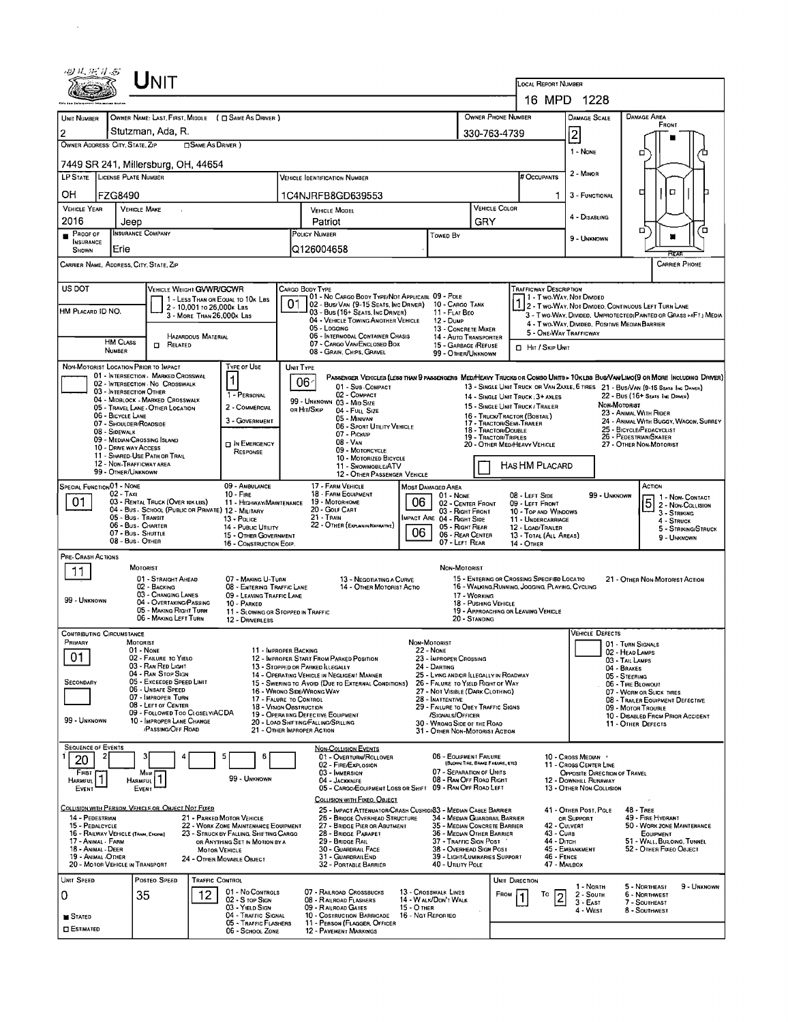| UNIT                                                                                                                                  |                                                                                                                                                  |                                                                                                      |                                                                                                                              |  |  |  |  |  |  |
|---------------------------------------------------------------------------------------------------------------------------------------|--------------------------------------------------------------------------------------------------------------------------------------------------|------------------------------------------------------------------------------------------------------|------------------------------------------------------------------------------------------------------------------------------|--|--|--|--|--|--|
|                                                                                                                                       |                                                                                                                                                  |                                                                                                      | <b>LOCAL REPORT NUMBER</b>                                                                                                   |  |  |  |  |  |  |
|                                                                                                                                       |                                                                                                                                                  |                                                                                                      | 16 MPD 1228                                                                                                                  |  |  |  |  |  |  |
| <b>UNIT NUMBER</b><br>OWNER NAME: LAST, FIRST, MIDDLE ( C) SAME AS DRIVER )<br>Stutzman, Ada, R.<br>$\overline{c}$                    |                                                                                                                                                  | OWNER PHONE NUMBER                                                                                   | <b>DAMAGE AREA</b><br>DAMAGE SCALE<br>FRONT                                                                                  |  |  |  |  |  |  |
| OWNER ADDRESS: CITY, STATE, ZIP<br>SAME AS DRIVER )                                                                                   |                                                                                                                                                  | 330-763-4739                                                                                         | $\overline{2}$                                                                                                               |  |  |  |  |  |  |
| 7449 SR 241, Millersburg, OH, 44654                                                                                                   |                                                                                                                                                  |                                                                                                      | 1 - NONE<br>о                                                                                                                |  |  |  |  |  |  |
| LP STATE LICENSE PLATE NUMBER                                                                                                         | <b>VEHICLE IDENTIFICATION NUMBER</b>                                                                                                             | # OCCUPANTS                                                                                          | 2 - MINOR                                                                                                                    |  |  |  |  |  |  |
| OН<br><b>FZG8490</b>                                                                                                                  | 1C4NJRFB8GD639553                                                                                                                                |                                                                                                      | $\Box$<br>o<br>3 - FUNCTIONAL<br>1.                                                                                          |  |  |  |  |  |  |
| <b>VEHICLE YEAR</b><br><b>VEHICLE MAKE</b>                                                                                            | <b>VEHICLE MODEL</b>                                                                                                                             | VEHICLE COLOR                                                                                        | 4 - DISABLING                                                                                                                |  |  |  |  |  |  |
| 2016<br>Jeep<br><b>INSURANCE COMPANY</b><br>Proof of                                                                                  | Patriot<br><b>POLICY NUMBER</b>                                                                                                                  | GRY<br>Towed By                                                                                      | о<br>п                                                                                                                       |  |  |  |  |  |  |
| <b>INSURANCE</b><br>Erie<br><b>SHOWN</b>                                                                                              | Q126004658                                                                                                                                       |                                                                                                      | 9 - UNKNOWN<br>नेटर                                                                                                          |  |  |  |  |  |  |
| CARRIER NAME, ADDRESS, CITY, STATE, ZIP                                                                                               |                                                                                                                                                  |                                                                                                      | <b>CARRIER PHONE</b>                                                                                                         |  |  |  |  |  |  |
| US DOT<br>VEHICLE WEIGHT GVWR/GCWR                                                                                                    | CARGO BODY TYPE<br>01 - No CARGO BODY TYPE/NOT APPLICABL 09 - POLE                                                                               |                                                                                                      | <b>TRAFFICWAY DESCRIPTION</b>                                                                                                |  |  |  |  |  |  |
| 1 - LESS THAN OR EQUAL TO 10K LBS<br>2 - 10,001 to 26,000k Las<br>HM PLACARD ID NO.                                                   | 01<br>02 - Bus/Van (9-15 Seats, Inc Driver)<br>03 - Bus (16+ Seats, Inc Driver)                                                                  | 10 - CARGO TANK<br>11 - FLAT BEO                                                                     | 11 - Two Way, Not Divided<br>1 - I WO-VYAY, IVOI CIVIDED<br>2 - T WO-WAY, NOT DIVIDEO, CONTINUOUS LEFT TURN LANE             |  |  |  |  |  |  |
| 3 - MORE THAN 26,000K LBS                                                                                                             | 04 - VEHICLE TOWING ANOTHER VEHICLE<br>05 - Logging                                                                                              | 12 - Dump<br>13 - CONCRETE MIXER                                                                     | 3 - Two-Way, DIVIDED, UNPROTECTED (PAINTED OR GRASS >4FT.) MEDIA<br>4 - T WO-WAY, DIVIDED, POSITIVE MEDIAN BARRIER           |  |  |  |  |  |  |
| <b>HAZARDOUS MATERIAL</b><br><b>HM CLASS</b><br><b>D</b> RELATED                                                                      | 06 - INTERMODAL CONTAINER CHASIS<br>07 - CARGO VAN/ENCLOSED BOX                                                                                  | 14 - AUTO TRANSPORTER<br>15 - GARBAGE / REFUSE                                                       | 5 - ONE-WAY TRAFFICWAY                                                                                                       |  |  |  |  |  |  |
| <b>NUMBER</b><br><b>TYPE OF USE</b>                                                                                                   |                                                                                                                                                  | HIT / SKIP UNIT<br>08 - GRAIN, CHIPS, GRAVEL<br>99 - OTHER/UNKNOWN                                   |                                                                                                                              |  |  |  |  |  |  |
| NON-MOTORIST LOCATION PRIOR TO IMPACT<br>01 - INTERSECTION - MARKED CROSSWAL<br>1                                                     | <b>UNIT TYPE</b><br>06 <sup>2</sup>                                                                                                              |                                                                                                      | PASSENGER VEHICLES (LESS THAN 9 PASSENGERS MEDIHEAVY TRUCKS OR COMBO UNITS > 10KLBS BUS/VAN/LIMO(9 OR MORE INCLUDING DRIVER) |  |  |  |  |  |  |
| 02 - INTERSECTION - NO CROSSWALK<br>03 - INTERSECTION OTHER<br>1 - PERSONAL<br>04 - MIDBLOCK - MARKED CROSSWALK                       | 01 - Sub COMPACT<br>02 - COMPACT                                                                                                                 | 14 - SINGLE UNIT TRUCK: 3+ AXLES                                                                     | 13 - SINGLE UNIT TRUCK OR VAN 2AXLE, 6 TIRES 21 - BUS/VAN (9-15 SEATS INC DAMER)<br>22 - BUS (16+ SEATS ING DRIVER)          |  |  |  |  |  |  |
| 2 - COMMERCIAL<br>05 - TRAVEL LANE - OTHER LOCATION<br>06 - BICYCLE LANE                                                              | 99 - Unknown 03 - Mid Size<br>or Hit/Skip<br>04 FULL SIZE<br>05 - MINIVAN                                                                        | 15 - SINGLE UNIT TRUCK / TRAILER<br>16 - TRUCK/TRACTOR (BOBTAIL)                                     | NON-MOTORIST<br>23 - ANIMAL WITH RIDER                                                                                       |  |  |  |  |  |  |
| 3 - GOVERNMENT<br>07 - SHOULDER/ROADSIDE<br>08 - SIDEWALK                                                                             | 06 - SPORT UTILITY VEHICLE<br>07 - Pickup                                                                                                        | 17 - TRACTOR/SEMI-TRAILER<br>18 - Tractor/Double                                                     | 24 - ANIMAL WITH BUGGY, WAGON, SURREY<br>25 - BICYCLE/PEDACYCLIST<br>26 - PEDESTRIAN/SKATER                                  |  |  |  |  |  |  |
| 09 - MEDIAN/CROSSING ISLAND<br>IN EMERGENCY<br>10 - DRNE WAY ACCESS<br>RESPONSE                                                       | 08 - VAN<br>09 - MOTORCYCLE                                                                                                                      | 19 - TRACTOR/TRIPLES<br>20 - OTHER MEDIHEAVY VEHICLE                                                 | 27 - OTHER NON-MOTORIST                                                                                                      |  |  |  |  |  |  |
| 11 - SHARED-USE PATH OR TRAIL<br>12 - NON-TRAFFICWAY AREA<br>99 - OTHER/UNKNOWN                                                       | 10 - MOTORIZED BICYCLE<br>11 - SNOWMOBILE/ATV                                                                                                    | HAS HM PLACARD                                                                                       |                                                                                                                              |  |  |  |  |  |  |
| <b>SPECIAL FUNCTION 01 - NONE</b><br>09 - AMBULANCE                                                                                   | 12 - OTHER PASSENGER VEHICLE<br>17 - FARM VEHICLE<br>MOST DAMAGED AREA                                                                           |                                                                                                      | Астюм                                                                                                                        |  |  |  |  |  |  |
| 02 - Taxi<br>$10 -$ Fire<br>01<br>03 - RENTAL TRUCK (OVER 10K LBS)                                                                    | 18 - FARM EQUIPMENT<br>19 - Мотовноме<br>06<br>11 - HIGHWAY/MAINTENANCE                                                                          | 08 - LEFT SIDE<br>01 - None<br>09 - LEFT FRONT<br>02 - CENTER FRONT                                  | 99 - UNKNOWN<br>1 - Non-Contact<br>5 2 - Non-COLLISION                                                                       |  |  |  |  |  |  |
| 04 - Bus - SCHOOL (PUBLIC OR PRIVATE) 12 - MILITARY<br>05 - Bus - Transit<br>13 - Pouce<br>06 - Bus - Charter                         | 20 - GOLF CART<br>21 TRAIN<br>22 - OTHER (EXPLAININ NARRATIVE)                                                                                   | 03 - Right Front<br>10 - TOP AND WINDOWS<br>IMPACT ARE 04 - RIGHT SIDE<br>11 - UNDERCARRIAGE         | 3 - STRIKING<br>4 - STRUCK                                                                                                   |  |  |  |  |  |  |
| 14 - PUBLIC UTILITY<br>07 - Bus - SHUTTLE<br>15 - OTHER GOVERNMENT<br>08 - Bus - OTHER                                                | 06                                                                                                                                               | 05 - RIGHT REAR<br>12 - LOAD/TRAILER<br>06 - REAR CENTER<br>13 - TOTAL (ALL AREAS)<br>07 - LEFT REAR | 5 - STRIKING/STRUCK<br>9 - Unknown                                                                                           |  |  |  |  |  |  |
| 16 - CONSTRUCTION EOIP.<br>PRE-CRASH ACTIONS                                                                                          |                                                                                                                                                  | 14 - OTHER                                                                                           |                                                                                                                              |  |  |  |  |  |  |
| <b>MOTORIST</b><br>11<br>01 - STRAIGHT AHEAD<br>07 - MAKING U-TURN                                                                    | 13 - Negotiating a Curve                                                                                                                         | NON-MOTORIST<br>15 - ENTERING OR CROSSING SPECIFIED LOCATIO                                          |                                                                                                                              |  |  |  |  |  |  |
| 02 - BACKING<br>03 - CHANGING LANES                                                                                                   | 08 - ENTERING TRAFFIC LANE<br>14 - OTHER MOTORIST ACTIO<br>09 - LEAVING TRAFFIC LANE                                                             | 16 - WALKING, RUNNING, JOGGING, PLAYING, CYCLING<br>17 WORKING                                       | 21 - OTHER NON-MOTORIST ACTION                                                                                               |  |  |  |  |  |  |
| 99 - UNKNOWN<br>04 - OVERTAKING/PASSING<br>10 - PARKED<br>05 - MAKING RIGHT TURN                                                      | 11 - SLOWING OR STOPPED IN TRAFFIC                                                                                                               | 18 - Pushing Vehicle<br>19 - APPROACHING OR LEAVING VEHICLE                                          |                                                                                                                              |  |  |  |  |  |  |
| 06 - MAKING LEFT TURN<br>12 - DRIVERLESS                                                                                              |                                                                                                                                                  | 20 - STANDING                                                                                        | <b>VEHICLE DEFECTS</b>                                                                                                       |  |  |  |  |  |  |
| <b>CONTRIBUTING CIRCUMSTANCE</b><br>MOTORIST<br><b>MRIMARY</b><br>01 - NONE                                                           | <b>Non-Motorist</b><br>11 - IMPROPER BACKING<br><b>22 - NONE</b>                                                                                 |                                                                                                      | 01 - TURN SIGNALS                                                                                                            |  |  |  |  |  |  |
| 01<br>02 - FAILURE TO YIELO<br>03 - RAN RED LIGHT                                                                                     | 12 - IMPROPER START FROM PARKED POSITION<br>13 - STOPPED OR PARKED LLEGALLY                                                                      | 23 - IMPROPER CROSSING<br>24 - DARTING                                                               | 02 - HEAD LAMPS<br>03 - TAIL LAMPS<br>04 - BRAKES                                                                            |  |  |  |  |  |  |
| 04 - RAN STOP SIGN<br>05 - Exceeded Speed LIMIT<br><b>SECONDARY</b>                                                                   | 14 - OPERATING VEHICLE IN NEGLIGENT MANNER<br>15 - Swering to Avoid (Due to External Conditions)                                                 | 25 - LYING AND/OR ILLEGALLY IN ROADWAY<br>26 - FALURE TO YIELD RIGHT OF WAY                          | 05 - STEERING<br>06 - TIRE BLOWOUT                                                                                           |  |  |  |  |  |  |
| 06 - Unsafe Speed<br>07 - IMPROPER TURN                                                                                               | 16 - Wrono Side/Wrong Way<br>17 - FALURE TO CONTROL                                                                                              | 27 - NOT VISIBLE (DARK CLOTHING)<br>28 - INATTENTIVE                                                 | 07 - WORN OR SLICK TIRES<br>08 - TRAILER EQUIPMENT DEFECTIVE                                                                 |  |  |  |  |  |  |
| 08 - LEFT OF CENTER<br>09 - FOLLOWED TOO CLOSELY/ACDA<br>99 - UNKNOWN<br>10 - IMPROPER LANE CHANGE                                    | <b>18 - VISION OBSTRUCTION</b><br>19 - OPERATING DEFECTIVE EQUIPMENT                                                                             | 29 - FAILURE TO OBEY TRAFFIC SIGNS<br>/SIGNALS/OFFICER                                               | 09 - MOTOR TROUBLE<br>10 - DISABLED FROM PRIOR ACCIDENT                                                                      |  |  |  |  |  |  |
| <b>PASSING OFF ROAD</b>                                                                                                               | 20 - LOAD SHIFTING/FALLING/SPILLING<br>21 - OTHER IMPROPER ACTION                                                                                | 30 - Wrong Side of the Road<br>31 - OTHER NON-MOTORIST ACTION                                        | 11 - OTHER DEFECTS                                                                                                           |  |  |  |  |  |  |
| <b>SEQUENCE OF EVENTS</b>                                                                                                             | <b>NON-COLLISION EVENTS</b><br>01 - OVERTURN/ROLLOVER<br>6                                                                                       | 06 - EQUIPMENT FAILURE                                                                               | 10 - Cross Median                                                                                                            |  |  |  |  |  |  |
| 20<br>FIRST<br>Most                                                                                                                   | 02 - FIRE/EXPLOSION<br>03 - IMMERSION                                                                                                            | (BLOWN TIRE, BRANE FALURE, ETC)<br>07 - Separation of Units                                          | 11 - Cross CENTER LINE<br>OPPOSITE DIRECTION OF TRAVEL                                                                       |  |  |  |  |  |  |
| 1<br>HARMFUL <sup>1</sup><br>99 - UNKNOWN<br><b>HARMFUL</b><br>EVENT<br>EVENT                                                         | 04 - JACKKNIFF<br>05 - CARGO/EQUIPMENT LOSS OR SHIFT 09 - RAN OFF ROAD LEFT                                                                      | 08 - Ran Off Road Right                                                                              | 12 - DOWNHILL RUNAWAY<br>13 - OTHER NON-COLLISION                                                                            |  |  |  |  |  |  |
| COLLISION WITH PERSON, VEHICLE OR OBJECT NOT FIXED                                                                                    | COLLISION WITH FIXEO, OBJECT<br>25 - IMPACT ATTENUATOR/CRASH CUSHION33 - MEDIAN CABLE BARRIER                                                    |                                                                                                      | 41 - OTHER POST, POLE<br><b>48 - TREE</b>                                                                                    |  |  |  |  |  |  |
| 14 - PEDESTRIAN<br>21 - PARKED MOTOR VEHICLE<br>15 - PEDALCYCLE<br>22 - WORK ZONE MAINTENANCE EQUIPMENT                               | 26 - BRIDGE OVERHEAD STRUCTURE<br>27 - BRIDGE PIER OR ABUTMENT                                                                                   | 34 - MEDIAN GUARDRAIL BARRIER<br>35 - Median Concrete Barrier                                        | 49 - FIRE HYDRANT<br>OR SUPPORT<br>42 - CULVERT<br>50 - WORK ZONE MAINTENANCE                                                |  |  |  |  |  |  |
| 16 - RAILWAY VEHICLE (TRAN, ENGINE)<br>23 - STRUCK BY FALLING, SHIFTING CARGO<br>17 - Animal - Farm<br>OR ANYTHING SET IN MOTION BY A | 28 - BRIDGE PARAPET<br>29 - BRIDGE RAIL                                                                                                          | 36 - Median Other Barrier<br>37 - Traffic Sign Post                                                  | 43 - CURB<br><b>EQUIPMENT</b><br>44 - Dітсн<br>51 - WALL, BUILOING, TUNNEL                                                   |  |  |  |  |  |  |
| 18 - Animal - Deer<br><b>MOTOR VEHICLE</b><br>19 - Animal -OTHER<br>24 - OTHER MOVABLE OBJECT<br>20 - MOTOR VEHICLE IN TRANSPORT      | 30 - GUARDRAIL FACE<br>31 - GUARDRAILEND<br>32 - PORTABLE BARRIER                                                                                | 38 - Overhead Sign Post<br>39 - LIGHT/LUMINARIES SUPPORT<br>40 - Utiuty Pole                         | 45 - EMBANKMENT<br>52 - Отнея Гіхео Овлест<br>46 - FENCE<br>47 - MAILBOX                                                     |  |  |  |  |  |  |
| UNIT SPEED<br><b>TRAFFIC CONTROL</b><br>POSTEO SPEED                                                                                  |                                                                                                                                                  | UNIT DIRECTION                                                                                       |                                                                                                                              |  |  |  |  |  |  |
| 01 - No CONTROLS<br>12<br>35<br>0<br>02 - S TOP SIGN                                                                                  | 07 - RAILROAD CROSSBUCKS<br>13 - Crosswalk LINES<br>08 - RAILROAD FLASHERS                                                                       | FROM<br>To<br>14 - WALK/DON'T WALK                                                                   | 1 - North<br>5 - Northeast<br>9 - UNKNOWN<br>6 - NORTHWEST<br>2 - South<br>$\overline{2}$                                    |  |  |  |  |  |  |
| 03 - YIELD SIGN<br><b>STATED</b>                                                                                                      | 09 - RAILROAD GATES<br>15 - О тнек<br>10 - Costruction Barricade                                                                                 |                                                                                                      | $3 - East$<br>7 - SOUTHEAST<br>4 - WEST<br>8 - SOUTHWEST                                                                     |  |  |  |  |  |  |
| <b>O</b> ESTIMATED                                                                                                                    | 16 - Nat Reporteo<br>04 - TRAFFIC SIGNAL<br>11 - PERSON (FLAGGER, OFFICER<br>05 - TRAFFIC FLASHERS<br>06 - School Zone<br>12 - PAVEMENT MARKINGS |                                                                                                      |                                                                                                                              |  |  |  |  |  |  |

 $\sim 10^{11}$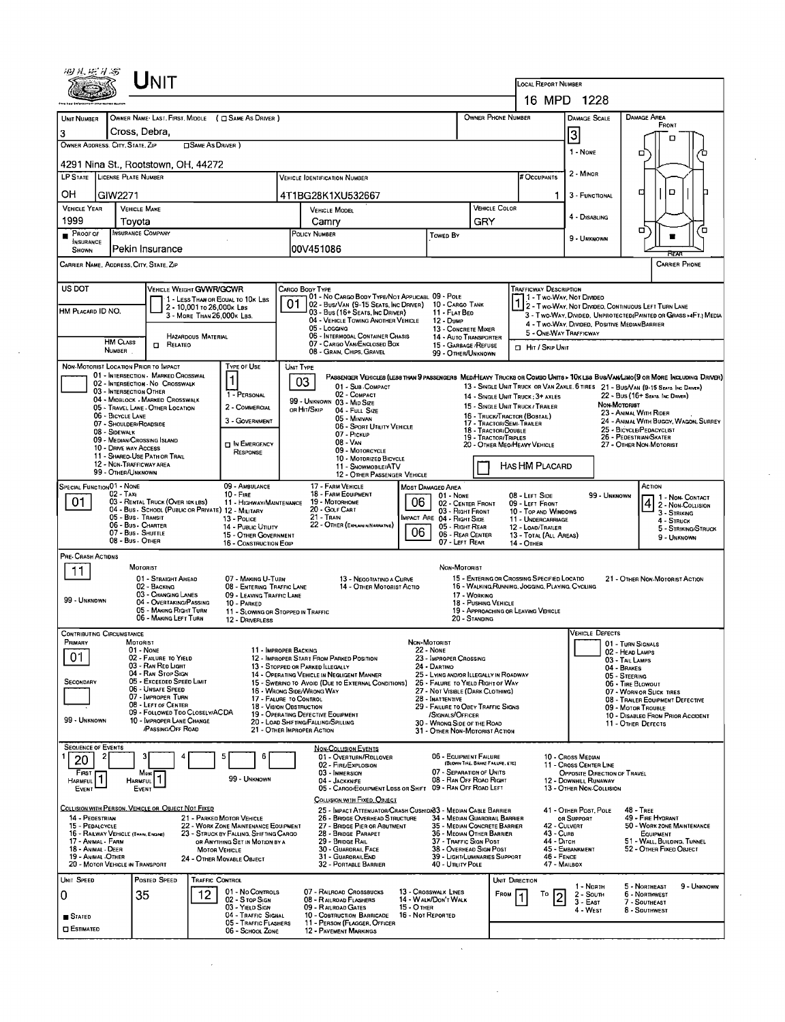|                                                                                                                                                        | ${\sf UnIT}$                                                                                                                                                                                                                                                                                                                                     |                                                                                                                                                         |                                                                                                                                                                                                                                                                                                                                                                                                              |                                                                                                                                                                                                                                                                                                                        |                                                                                                                                                                                                                                                                                                                                              |                                                                                                          | <b>LOCAL REPORT NUMBER</b>                                                                                                                            | 16 MPD 1228                                                                                                                                                                                                                                                                                     |                                                                                                                                                                                                                                                               |  |  |  |  |
|--------------------------------------------------------------------------------------------------------------------------------------------------------|--------------------------------------------------------------------------------------------------------------------------------------------------------------------------------------------------------------------------------------------------------------------------------------------------------------------------------------------------|---------------------------------------------------------------------------------------------------------------------------------------------------------|--------------------------------------------------------------------------------------------------------------------------------------------------------------------------------------------------------------------------------------------------------------------------------------------------------------------------------------------------------------------------------------------------------------|------------------------------------------------------------------------------------------------------------------------------------------------------------------------------------------------------------------------------------------------------------------------------------------------------------------------|----------------------------------------------------------------------------------------------------------------------------------------------------------------------------------------------------------------------------------------------------------------------------------------------------------------------------------------------|----------------------------------------------------------------------------------------------------------|-------------------------------------------------------------------------------------------------------------------------------------------------------|-------------------------------------------------------------------------------------------------------------------------------------------------------------------------------------------------------------------------------------------------------------------------------------------------|---------------------------------------------------------------------------------------------------------------------------------------------------------------------------------------------------------------------------------------------------------------|--|--|--|--|
| <b>UNIT NUMBER</b>                                                                                                                                     |                                                                                                                                                                                                                                                                                                                                                  | OWNER NAME LAST, FIRST, MIDDLE ( C SAME AS DRIVER )                                                                                                     |                                                                                                                                                                                                                                                                                                                                                                                                              |                                                                                                                                                                                                                                                                                                                        |                                                                                                                                                                                                                                                                                                                                              | OWNER PHONE NUMBER                                                                                       |                                                                                                                                                       | DAMAGE SCALE                                                                                                                                                                                                                                                                                    | DAMAGE AREA                                                                                                                                                                                                                                                   |  |  |  |  |
|                                                                                                                                                        |                                                                                                                                                                                                                                                                                                                                                  |                                                                                                                                                         |                                                                                                                                                                                                                                                                                                                                                                                                              |                                                                                                                                                                                                                                                                                                                        |                                                                                                                                                                                                                                                                                                                                              |                                                                                                          |                                                                                                                                                       |                                                                                                                                                                                                                                                                                                 | FRONT                                                                                                                                                                                                                                                         |  |  |  |  |
| 3<br>OWNER ADDRESS, CITY, STATE, ZIP                                                                                                                   | Cross, Debra,                                                                                                                                                                                                                                                                                                                                    | SAME AS DRIVER )                                                                                                                                        |                                                                                                                                                                                                                                                                                                                                                                                                              |                                                                                                                                                                                                                                                                                                                        |                                                                                                                                                                                                                                                                                                                                              |                                                                                                          |                                                                                                                                                       | 3                                                                                                                                                                                                                                                                                               |                                                                                                                                                                                                                                                               |  |  |  |  |
|                                                                                                                                                        | 4291 Nina St., Rootstown, OH, 44272                                                                                                                                                                                                                                                                                                              |                                                                                                                                                         |                                                                                                                                                                                                                                                                                                                                                                                                              |                                                                                                                                                                                                                                                                                                                        |                                                                                                                                                                                                                                                                                                                                              |                                                                                                          |                                                                                                                                                       | 1 - None                                                                                                                                                                                                                                                                                        | □<br>ገገ                                                                                                                                                                                                                                                       |  |  |  |  |
| LP STATE LICENSE PLATE NUMBER                                                                                                                          |                                                                                                                                                                                                                                                                                                                                                  |                                                                                                                                                         | <b>VEHICLE IDENTIFICATION NUMBER</b>                                                                                                                                                                                                                                                                                                                                                                         |                                                                                                                                                                                                                                                                                                                        |                                                                                                                                                                                                                                                                                                                                              |                                                                                                          | <b>FOCCUPANTS</b>                                                                                                                                     | 2 - MINOR                                                                                                                                                                                                                                                                                       |                                                                                                                                                                                                                                                               |  |  |  |  |
| OH<br>GIW2271                                                                                                                                          |                                                                                                                                                                                                                                                                                                                                                  |                                                                                                                                                         | 4T1BG28K1XU532667                                                                                                                                                                                                                                                                                                                                                                                            |                                                                                                                                                                                                                                                                                                                        |                                                                                                                                                                                                                                                                                                                                              |                                                                                                          | 1                                                                                                                                                     | 3 - FUNCTIONAL                                                                                                                                                                                                                                                                                  | D.<br>а<br>h                                                                                                                                                                                                                                                  |  |  |  |  |
| <b>VEHICLE YEAR</b>                                                                                                                                    | <b>VEHICLE MAKE</b>                                                                                                                                                                                                                                                                                                                              |                                                                                                                                                         | VEHICLE MODEL                                                                                                                                                                                                                                                                                                                                                                                                |                                                                                                                                                                                                                                                                                                                        |                                                                                                                                                                                                                                                                                                                                              | <b>VEHICLE COLOR</b>                                                                                     |                                                                                                                                                       | 4 - DISABLING                                                                                                                                                                                                                                                                                   |                                                                                                                                                                                                                                                               |  |  |  |  |
| 1999<br>Proof of                                                                                                                                       | Tovota<br><b>INSURANCE COMPANY</b>                                                                                                                                                                                                                                                                                                               |                                                                                                                                                         | Camry<br>POLICY NUMBER                                                                                                                                                                                                                                                                                                                                                                                       |                                                                                                                                                                                                                                                                                                                        |                                                                                                                                                                                                                                                                                                                                              | GRY                                                                                                      |                                                                                                                                                       |                                                                                                                                                                                                                                                                                                 | σ<br>Έ                                                                                                                                                                                                                                                        |  |  |  |  |
| <b>INSURANCE</b>                                                                                                                                       | Pekin Insurance                                                                                                                                                                                                                                                                                                                                  |                                                                                                                                                         |                                                                                                                                                                                                                                                                                                                                                                                                              |                                                                                                                                                                                                                                                                                                                        | Towep By                                                                                                                                                                                                                                                                                                                                     |                                                                                                          |                                                                                                                                                       | 9 - UNKNOWN                                                                                                                                                                                                                                                                                     | ▬                                                                                                                                                                                                                                                             |  |  |  |  |
| SHOWN                                                                                                                                                  |                                                                                                                                                                                                                                                                                                                                                  |                                                                                                                                                         | I00V451086                                                                                                                                                                                                                                                                                                                                                                                                   |                                                                                                                                                                                                                                                                                                                        |                                                                                                                                                                                                                                                                                                                                              |                                                                                                          |                                                                                                                                                       |                                                                                                                                                                                                                                                                                                 | RETO<br><b>CARRIER PHONE</b>                                                                                                                                                                                                                                  |  |  |  |  |
| CARRIER NAME, ADDRESS, CITY, STATE, ZJP                                                                                                                |                                                                                                                                                                                                                                                                                                                                                  |                                                                                                                                                         |                                                                                                                                                                                                                                                                                                                                                                                                              |                                                                                                                                                                                                                                                                                                                        |                                                                                                                                                                                                                                                                                                                                              |                                                                                                          |                                                                                                                                                       |                                                                                                                                                                                                                                                                                                 |                                                                                                                                                                                                                                                               |  |  |  |  |
| US DOT<br>HM PLACARD ID NO.<br><b>HM CLASS</b>                                                                                                         | <b>CI RELATEO</b>                                                                                                                                                                                                                                                                                                                                | VEHICLE WEIGHT GVWR/GCWR<br>1 - Less Than or Equal to 10x Lbs<br>2 - 10,001 to 26,000k LBS<br>3 - MORE THAN 26.000K LBS.<br><b>HAZARDOUS MATERIAL</b>   | CARGO BODY TYPE<br>01<br>05 - Logging<br>07 - CARGO VAN/ENCLOSED BOX                                                                                                                                                                                                                                                                                                                                         | 01 - No CARGO BODY TYPE/NOT APPLICABL 09 - POLE<br>02 - Bus/Van (9-15 Seats, Inc Driver)<br>03 - Bus (16+ Seats, Inc Driver)<br>04 - VEHICLE TOWING ANOTHER VEHICLE<br>06 - INTERMODAL CONTAINER CHASIS                                                                                                                | 10 - CARGO TANK<br>11 - FLAT BED<br>12 - Dump<br>13 - CONCRETE MIXER<br>14 - AUTO TRANSPORTER<br>15 - GARBAGE / REFUSE                                                                                                                                                                                                                       |                                                                                                          | <b>TRAFFICWAY DESCRIPTION</b><br>1 1 - Two Way, Not Divideo<br>5 - ONE-WAY TRAFFICWAY                                                                 | 4 - Two-WAY, DIVIDED, POSITIVE MEDIAN BARRIER                                                                                                                                                                                                                                                   | 1 2 - Two-Way, Not Drives. CONTINUOUS LEFT TURN LANE<br>3 - Two-Way, Divided, Unprotected Painted or Grass >4Ft.) Media                                                                                                                                       |  |  |  |  |
| NUMBER.                                                                                                                                                |                                                                                                                                                                                                                                                                                                                                                  |                                                                                                                                                         | 08 - GRAIN, CHIPS, GRAVEL                                                                                                                                                                                                                                                                                                                                                                                    |                                                                                                                                                                                                                                                                                                                        | 99 - OTHER/UNKNOWN                                                                                                                                                                                                                                                                                                                           |                                                                                                          | <b>D</b> Hit / Skip Unit                                                                                                                              |                                                                                                                                                                                                                                                                                                 |                                                                                                                                                                                                                                                               |  |  |  |  |
| NON-MOTORIST LOCATION PRIOR TO IMPACT<br>06 - BICYCLE LANE<br>08 - Sidewalk                                                                            | 01 - INTERSECTION - MARKED CROSSWAL<br>02 - INTERSECTION - NO CROSSWALK<br>03 - INTERSECTION OTHER<br>04 - MIDBLOCK - MARKED CROSSWALK<br>05 - TRAVEL LANE - OTHER LOCATION<br>07 - SHOULDER/ROADSIDE<br>09 - MEDIAN CROSSING ISLAND<br>10 - DRIVE WAY ACCESS<br>11 - SHAREO-USE PATH OR TRAIL<br>12 - NON-TRAFFICWAY AREA<br>99 - OTHER/UNKNOWN | <b>TYPE OF USE</b><br>1<br>1 - PERSONAL<br>2 - COMMERCIAL<br>3 - GOVERNMENT<br><b>DIN EMERGENCY</b><br>RESPONSE                                         | UNIT TYPE<br>03<br>99 - UNKNOWN 03 - MID SIZE<br>or Hit/Skip<br>05 - MINIVAN<br>07 - PICKUP<br>08 - VAN                                                                                                                                                                                                                                                                                                      | PASSENGER VEHICLES (LESS THAN 9 PASSENGERS MED/HEAVY TRUCKS OR COMBO UNITS > 10K LBS BUS/VAN/LIMO (9 OR MORE INCLUDING DRIVER)<br>01 - Sub COMPACT<br>02 - COMPACT<br>04 - Full Size<br>06 - SPORT UTILITY VEHICLE<br>09 - MOTORCYCLE<br>10 - MOTORIZED BICYCLE<br>11 - SNOWMOBILE/ATV<br>12 - OTHER PASSENGER VEHICLE |                                                                                                                                                                                                                                                                                                                                              | 16 - TRUCK/TRACTOR (BOBTAIL)<br>17 - TRACTOR/SEMI-TRAILER<br>18 - TRACTOR/DOUBLE<br>19 - TRACTOR/TRIPLES | 14 - SINGLE UNIT TRUCK : 3+ AXLES<br>15 - SINGLE UNIT TRUCK / TRAILER<br>20 - OTHER MEO/HEAVY VEHICLE<br>HAS HM PLACARD                               | 13 - SINGLE UNIT TRUCK OR VAN ZAXLE, 6 TIRES 21 - BUS/VAN (9-15 SEATS INC DAINER)<br>22 - BUS (16+ SEATS INC DRIVER)<br><b>Non MOTORIST</b><br>23 - ANIMAL WITH RIDER<br>24 - ANIMAL WITH BUGGY, WAGON, SURREY<br>25 - BICYCLE/PEDACYCLIST<br>26 - Pedestrian/Skater<br>27 - OTHER NON-MOTORIST |                                                                                                                                                                                                                                                               |  |  |  |  |
| SPECIAL FUNCTION 01 - NONE<br>01                                                                                                                       | $02 - TAX1$<br>03 - RENTAL TRUCK (OVER 10K LBS)<br>04 - Bus - School (Public or Private) 12 - Military<br>05 - Bus - Transit<br>06 - Bus - Charter<br>07 - Bus - SHUTTLE<br>08 - Bus - OTHER                                                                                                                                                     | 09 - AMBULANCE<br>$10 -$ Fire<br>11 - HIGHWAY/MAINTENANCE<br>13 - Police<br>14 - PUBLIC UTILITY<br>15 - OTHER GOVERNMENT<br>16 - CONSTRUCTION EOIP      | 17 - FARM VEHICLE<br>18 - FARM EQUIPMENT<br>19 - Мотовноме<br>20 - Golf Cart<br>21 - TRAIN<br>22 - OTHER (EXPLAININ NARRATIVE)                                                                                                                                                                                                                                                                               | 06<br>06                                                                                                                                                                                                                                                                                                               | <b>MOST DAMAGED AREA</b><br>01 - Nove<br>02 - CENTER FRONT<br>03 - Right Front<br>IMPACT ARE 04 - RIGHT SIDE<br>05 - Right Rear<br>06 - REAR CENTER<br>07 - LEFT REAR                                                                                                                                                                        |                                                                                                          | 08 - LEFT SIDE<br>09 - LEFT FRONT<br>10 - TOP AND WINDOWS<br>11 - UNDERCARRIAGE<br>12 - LOAD/TRAILER<br>13 - TOTAL (ALL AREAS)<br>14 - Отнев          | 99 - UNKNOWN                                                                                                                                                                                                                                                                                    | ACTION<br>1 - Non- Contact<br>$ 4 $ 2 - Non-Collision<br>3 - STRIKING<br>4 - STRUCK<br>5 - STRIKING/STRUCK<br>9 - UNKNOWN                                                                                                                                     |  |  |  |  |
| PRE-CRASH ACTIONS<br>99 - UNKNOWN                                                                                                                      | MOTORIST<br>01 - STRAIGHT AHEAD<br>02 - BACKING<br>03 - CHANGING LANES<br>04 - Overtaking/Passing<br>05 - MAKING RIGHT TURN<br>06 - MAKING LEFT TURN                                                                                                                                                                                             | 07 - MAKING U-TURN<br>08 - ENTERING TRAFFIC LANE<br>09 - LEAVING TRAFFIC LANE<br>10 - Parked<br>12 DRIVERLESS                                           | 11 - SLOWING OR STOPPED IN TRAFFIC                                                                                                                                                                                                                                                                                                                                                                           | 13 - Negotiatino a Curve<br>14 - OTHER MOTORIST ACTIO                                                                                                                                                                                                                                                                  | NON-MOTORIST<br>17 - WORKING<br>20 - STANDING                                                                                                                                                                                                                                                                                                | 18 - PUSHING VEHICLE                                                                                     | 15 - ENTERING OR CROSSING SPECIFIED LOCATIO<br>16 - WALKING RUNNING, JOGGING, PLAYING, CYCLING<br>19 - APPROACHING OR LEAVING VEHICLE                 |                                                                                                                                                                                                                                                                                                 | 21 - OTHER NON-MOTORIST ACTION                                                                                                                                                                                                                                |  |  |  |  |
| <b>CONTRIBUTING CIRCUMSTANCE</b><br><b>MRIMARY</b><br>01<br>SECONDARY<br>99 - UNKNOWN                                                                  | MOTORIST<br>01 - NONE<br>02 - FAILURE TO YIELD<br>03 - RAN RED LIGHT<br>04 - RAN STOP SIGN<br>05 - Exceeded Speed Limit<br>06 - Unsafe Speed<br>07 - IMPROPER TURN<br>08 - LEFT OF CENTER<br>09 - FOLLOWED TOO CLOSELY/ACDA<br>10 - IMPROPER LANE CHANGE<br><b>PASSING OFF ROAD</b>                                                              |                                                                                                                                                         | 11 - IMPROPER BACKING<br>12 - IMPROPER START FROM PARKED POSITION<br>13 - STOPPED OR PARKED LLEGALLY<br>14 - OPERATING VEHICLE IN NEGLIGENT MANNER<br>15 - Swerino to Avoid (Due to External Conditions)<br>16 - WRONG SIDF/WRONG WAY<br>17 - FALURE TO CONTROL<br><b>18 - VISION OBSTRUCTION</b><br>19 - OPERATING DEFECTIVE EQUIPMENT<br>20 - LOAD SHIFTING/FALLING/SPILLING<br>21 - OTHER IMPROPER ACTION |                                                                                                                                                                                                                                                                                                                        | NON-MOTORIST<br><b>22 - NONE</b><br>23 - IMPROPER CROSSING<br>24 - DARTINO<br>25 - LYING AND/OR ILLEGALLY IN ROADWAY<br>26 - FALURE TO YIELD RIGHT OF WAY<br>27 - NOT VISIBLE (DARK CLOTHING)<br>28 - INATTENTIVE<br>29 - FAILURE TO OBEY TRAFFIC SIGNS<br>/SIGNALS/OFFICER<br>30 - Wrong Side of the Road<br>31 - OTHER NON-MOTORIST ACTION |                                                                                                          |                                                                                                                                                       | VEHICLE DEFECTS                                                                                                                                                                                                                                                                                 | 01 - TURN SIGNALS<br>02 - HEAD LAMPS<br>03 - TAIL LAMPS<br>04 - BRAKES<br>05 - STEERING<br>06 - TIRE BLOWOUT<br>07 - WORN OR SLICK TIRES<br>08 - TRAILER EQUIPMENT DEFECTIVE<br>09 - MOTOR TROUBLE<br>10 - DISABLED FROM PRIOR ACCIDENT<br>11 - OTHER DEFECTS |  |  |  |  |
| <b>SEQUENCE OF EVENTS</b><br>20<br>FIRST<br>1<br>HARMFUL<br>EVENT<br>14 - PEDESTRIAN<br>15 - PEDALCYCLE                                                | Most<br>HARMFUL <sup>1</sup><br>EVENT<br>COLLISION WITH PERSON, VEHICLE OR OBJECT NOT FIXED                                                                                                                                                                                                                                                      | 6<br>99 - UNKNOWN<br>21 - PARKED MOTOR VEHICLE<br>22 - WORK ZONE MAINTENANCE EQUIPMENT                                                                  | <b>NON-COLLISION EVENTS</b><br>02 - FIRE/EXPLOSION<br>03 - IMMERSION<br>04 - JACKKNIFE                                                                                                                                                                                                                                                                                                                       | 01 - OVERTURN/ROLLOVER<br>05 - CARGO/EQUIPMENT LOSS OR SHIFT 09 - RAN OFF ROAD LEFT<br>COLLISION WITH FIXED, OBJECT<br>25 - IMPACT ATTENUATOR/CRASH CUSHIDI83 - MEDIAN CABLE BARRIER<br>26 - BRIDGE OVERHEAD STRUCTURE<br>27 - BRIDGE PIER OR ABUTMENT                                                                 | 06 - EQUIPMENT FAILURE<br>07 - SEPARATION OF UNITS<br>08 - RAN OFF ROAD RIGHT<br>34 - MEDIAN GUARDRAIL BARRIER<br>35 - MEDIAN CONCRETE BARRIER                                                                                                                                                                                               | (BLOWN TIRE, BRAKE FAILURE, ETC)                                                                         | 42 - CULVERT                                                                                                                                          | 10 - Cross Median<br>11 - Cross Center LINE<br>OPPOSITE DIRECTION OF TRAVEL<br>12 - DOWNHILL RUNAWAY<br>13 - OTHER NON-COLLISION<br>41 - OTHER POST, POLE<br>OR SUPPORT                                                                                                                         | <b>48 - TREE</b><br>49 - FIRE HYDRANT<br>50 - WORK ZONE MAINTENANCE                                                                                                                                                                                           |  |  |  |  |
| 16 - RAILWAY VEHICLE (TRAIN, ENGINE)<br>17 - ANIMAL - FARM<br>18 - Animal - Deer<br>19 - ANIMAL OTHER<br>20 - MOTOR VEHICLE IN TRANSPORT<br>UNIT SPEED | Posted Speed                                                                                                                                                                                                                                                                                                                                     | 23 - STRUCK BY FALLING, SHIFTING CARGO<br>OR ANYTHING SET IN MOTION BY A<br><b>MOTOR VEHICLE</b><br>24 - Отнея Моуавье Овчест<br><b>TRAFFIC CONTROL</b> | 28 - BRIDGE PARAPET<br>29 - BRIDGE RAIL<br>30 - GUARDRAIL FACE<br>31 - GUARDRAILEND<br>32 - PORTABLE BARRIER                                                                                                                                                                                                                                                                                                 |                                                                                                                                                                                                                                                                                                                        | 36 - MEOIAN OTHER BARRIER<br>37 - Traffic Sign Post<br>38 - OVERHEAD SIGN POST<br>39 - LIGHT/LUMINARIES SUPPORT<br>40 - Utility Pole                                                                                                                                                                                                         |                                                                                                          | <b>43 - CURB</b><br>EQUIPMENT<br>44 - Олсн<br>51 - WALL, BUILDING, TUNNEL<br>45 - EMBANKMENT<br>52 - OTHER FIXED OBJECT<br>46 - FENCE<br>47 - MAILBOX |                                                                                                                                                                                                                                                                                                 |                                                                                                                                                                                                                                                               |  |  |  |  |
| 0<br><b>STATED</b><br><b>CI ESTIMATED</b>                                                                                                              | 35                                                                                                                                                                                                                                                                                                                                               | 01 - No CONTROLS<br>12<br>02 - S TOP SIGN<br>03 - YIELD SIGN<br>04 - Traffic Signal<br>05 - TRAFFIC FLASHERS<br>06 - School Zone                        | 07 - RAILROAD CROSSBUCKS<br>08 - RAILROAD FLASHERS<br>09 - RAILROAD GATES<br>10 - COSTRUCTION BARRICADE<br>11 - PERSON (FLAGGER, OFFICER<br>12 - PAVEMENT MARKINGS                                                                                                                                                                                                                                           | $15 - 0$ Ther                                                                                                                                                                                                                                                                                                          | 13 - Crosswalk Lines<br>14 - WALK/DON'T WALK<br>16 - Not Reported                                                                                                                                                                                                                                                                            | UNIT DIRECTION<br>FROM                                                                                   | То<br>2                                                                                                                                               | 1 - Nonn<br>2 - South<br>3 - East<br>4 - WEST                                                                                                                                                                                                                                                   | 9 - UNKNOWN<br>5 - Northeast<br>6 - NORTHWEST<br>7 - SOUTHEAST<br>8 - SOUTHWEST                                                                                                                                                                               |  |  |  |  |

 $\sim$   $\sim$ 

 $\sim 10^{-1}$ 

 $\sim 10^{-1}$ 

 $\mathcal{A}^{\mathcal{A}}$ 

 $\frac{1}{2} \left( \frac{1}{2} \right)$  ,  $\frac{1}{2} \left( \frac{1}{2} \right)$ 

 $\mathcal{A}_{\mathcal{A}}$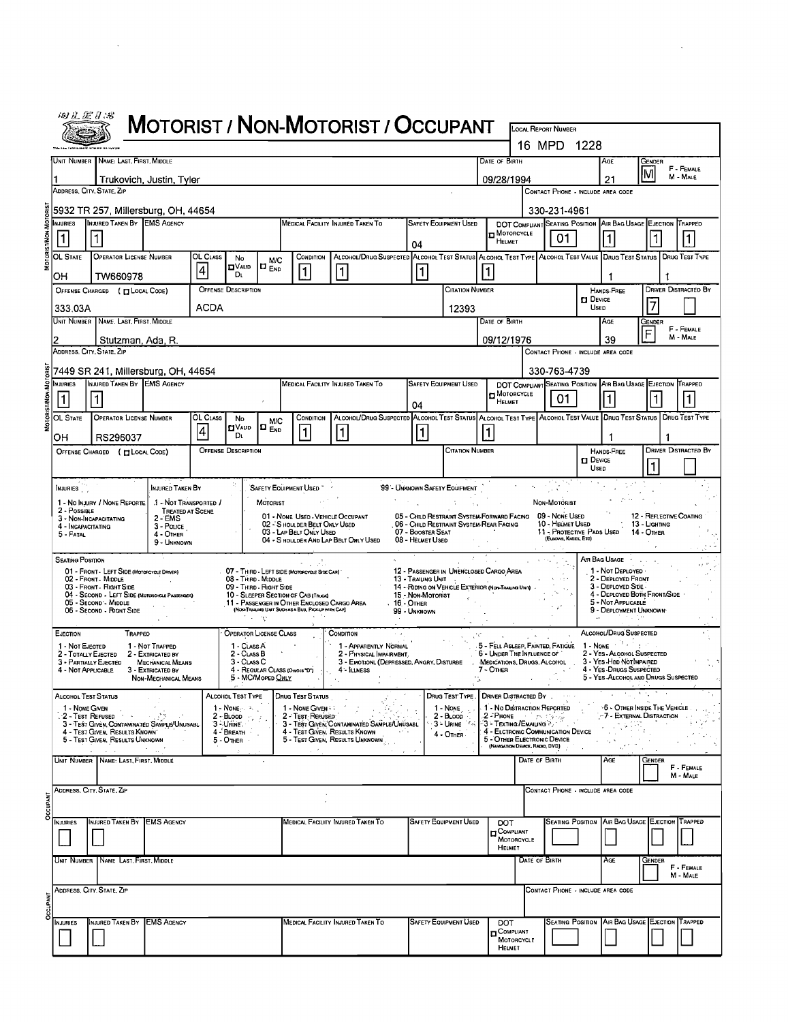|              | 砂孔运动场                                    |                                                                                                  |                                                                   |                 |                                                           |                                 |                                                                                                    |                                                                                                                   |                                                                                                |                                                   |                                                               |                                 |                                               |                              |                                                                           |                            |                             |
|--------------|------------------------------------------|--------------------------------------------------------------------------------------------------|-------------------------------------------------------------------|-----------------|-----------------------------------------------------------|---------------------------------|----------------------------------------------------------------------------------------------------|-------------------------------------------------------------------------------------------------------------------|------------------------------------------------------------------------------------------------|---------------------------------------------------|---------------------------------------------------------------|---------------------------------|-----------------------------------------------|------------------------------|---------------------------------------------------------------------------|----------------------------|-----------------------------|
|              |                                          |                                                                                                  |                                                                   |                 |                                                           |                                 |                                                                                                    | MOTORIST / NON-MOTORIST / OCCUPANT                                                                                |                                                                                                |                                                   |                                                               |                                 | <b>LOCAL REPORT NUMBER</b>                    |                              |                                                                           |                            |                             |
|              |                                          | Unit Number   Name: Last, First, Middle                                                          |                                                                   |                 |                                                           |                                 |                                                                                                    |                                                                                                                   |                                                                                                |                                                   | DATE OF BIRTH                                                 |                                 | 16 MPD 1228                                   |                              | Age                                                                       | GENDER                     |                             |
|              |                                          | Trukovich, Justin, Tyler                                                                         |                                                                   |                 |                                                           |                                 |                                                                                                    |                                                                                                                   |                                                                                                |                                                   | 09/28/1994                                                    |                                 |                                               |                              | 21                                                                        | lΜ                         | F - FEMALE<br>M - MALE      |
|              |                                          | ADDRESS, CITY, STATE, ZP                                                                         |                                                                   |                 |                                                           |                                 |                                                                                                    |                                                                                                                   |                                                                                                |                                                   |                                                               |                                 | CONTACT PHONE - INCLUDE AREA CODE             |                              |                                                                           |                            |                             |
|              |                                          | 5932 TR 257, Millersburg, OH, 44654                                                              |                                                                   |                 |                                                           |                                 |                                                                                                    |                                                                                                                   |                                                                                                |                                                   |                                                               |                                 | 330-231-4961                                  |                              |                                                                           |                            |                             |
|              | NJURIES<br> 1                            | INJURED TAKEN BY EMS AGENCY<br> 1                                                                |                                                                   |                 |                                                           |                                 |                                                                                                    | MEDICAL FACILITY INJURED TAKEN TO                                                                                 | 04                                                                                             | <b>SAFETY EQUIPMENT USED</b>                      | <b>H</b> MOTORCYCLE<br>HELMET                                 |                                 | 01                                            |                              | DOT COMPLIANT SEATING POSITION AIR BAG USAGE EJECTION TRAPPED             |                            |                             |
|              | OL STATE                                 | <b>OPERATOR LICENSE NUMBER</b>                                                                   |                                                                   | OL CLASS        | No<br><b>O</b> VAL1D                                      | <b>M/C</b><br>IO <sub>End</sub> | CONDITION                                                                                          | ALCOHOL/DRUG SUSPECTED ALCOHOL TEST STATUS ALCOHOL TEST TYPE ALCOHOL TEST VALUE DRUG TEST STATUS                  |                                                                                                |                                                   |                                                               |                                 |                                               |                              |                                                                           |                            | DRUG TEST TYPE              |
|              | OH                                       | TW660978                                                                                         |                                                                   | $\vert 4 \vert$ | Dι                                                        |                                 | $\mathbf{1}$                                                                                       | 1                                                                                                                 | 1                                                                                              |                                                   |                                                               |                                 |                                               |                              |                                                                           |                            |                             |
|              |                                          | OFFENSE CHARGED ( CLOCAL CODE)                                                                   |                                                                   |                 | <b>OFFENSE DESCRIPTION</b>                                |                                 |                                                                                                    |                                                                                                                   |                                                                                                | <b>CITATION NUMBER</b>                            |                                                               |                                 |                                               | <b>D</b> DEVICE              | HANDS-FREE                                                                | 17                         | <b>DRIVER DISTRACTED BY</b> |
|              | 333.03A                                  | UNIT NUMBER   NAME, LAST, FIRST, MIDDLE                                                          |                                                                   | ACDA            |                                                           |                                 |                                                                                                    |                                                                                                                   |                                                                                                | 12393                                             | DATE OF BIRTH                                                 |                                 |                                               | USED                         | Age                                                                       | Gender                     |                             |
|              |                                          | Stutzman, Ada, R.                                                                                |                                                                   |                 |                                                           |                                 |                                                                                                    |                                                                                                                   |                                                                                                |                                                   | 09/12/1976                                                    |                                 |                                               |                              | 39                                                                        | F                          | F - FEMALE<br>M - MALE      |
|              |                                          | ADDRESS, CITY, STATE, ZIP                                                                        |                                                                   |                 |                                                           |                                 |                                                                                                    |                                                                                                                   |                                                                                                |                                                   |                                                               |                                 | CONTACT PHONE - INCLUDE AREA CODE             |                              |                                                                           |                            |                             |
|              |                                          | 7449 SR 241, Millersburg, OH, 44654                                                              |                                                                   |                 |                                                           |                                 |                                                                                                    |                                                                                                                   |                                                                                                |                                                   |                                                               |                                 | 330-763-4739                                  |                              |                                                                           |                            |                             |
|              | MJURIES                                  | INJURED TAKEN BY EMS AGENCY                                                                      |                                                                   |                 |                                                           |                                 |                                                                                                    | MEDICAL FACILITY INJURED TAKEN TO                                                                                 |                                                                                                | <b>SAFETY EQUIPMENT USED</b>                      | <b>In MOTORCYCLE</b>                                          |                                 | 01                                            |                              | DOT COMPLIANT SEATING POSITION AIR BAG USAGE EJECTION TRAPPED             |                            |                             |
|              | OL STATE                                 | <b>OPERATOR LICENSE NUMBER</b>                                                                   |                                                                   | OL CLASS        | No                                                        |                                 | CONDITION                                                                                          | ALCONOL/DRUG SUSPECTED ALCONOL TEST STATUS ALCONOL TEST TYPE ALCONOL TEST VALUE DRUG TEST STATUS   DRUG TEST TYPE | 04                                                                                             |                                                   | HELMET                                                        |                                 |                                               |                              |                                                                           |                            |                             |
|              | он                                       | RS296037                                                                                         |                                                                   | 4               | יייµ VA∪<br>Dι                                            | <b>M/C</b><br>O <sub>End</sub>  | 1                                                                                                  | 1                                                                                                                 | $\mathbf{1}$                                                                                   |                                                   |                                                               |                                 |                                               |                              | -1                                                                        | 1                          |                             |
|              |                                          | OFFENSE CHARGED ( EL LOCAL CODE)                                                                 |                                                                   |                 | <b>OFFENSE DESCRIPTION</b>                                |                                 |                                                                                                    |                                                                                                                   |                                                                                                | <b>CITATION NUMBER</b>                            |                                                               |                                 |                                               |                              | HANDS-FREE                                                                |                            | <b>DRIVER DISTRACTED BY</b> |
|              |                                          |                                                                                                  |                                                                   |                 |                                                           |                                 |                                                                                                    |                                                                                                                   |                                                                                                |                                                   |                                                               |                                 |                                               | <b>DEVICE</b><br><b>USED</b> |                                                                           |                            |                             |
|              | NJURIES                                  |                                                                                                  | INJURED TAKEN BY                                                  |                 |                                                           |                                 | SAFETY EQUIPMENT USED                                                                              |                                                                                                                   | '99'- UNKNOWN SAFETY EQUIPMENT                                                                 |                                                   |                                                               |                                 |                                               |                              |                                                                           |                            |                             |
|              | 2 - Possible                             | 1 - No INJURY / NONE REPORTE                                                                     | 1 - Not Transported /<br><b>TREATED AT SCENE</b>                  |                 |                                                           | <b>MOTORIST</b>                 | 01 - NONE USED - VEHICLE OCCUPANT                                                                  |                                                                                                                   | 05 - CHILD RESTRAINT SYSTEM-FORWARD FACING                                                     |                                                   |                                                               |                                 | Non-Motorist<br>09 - None Useo                |                              |                                                                           | 12 - REFLECTIVE COATING    |                             |
|              | 4 - INCAPACITATING<br>$5 - FATAL$        | 3 - NON-INCAPACITATING                                                                           | $2 - EMS$<br>3 - Pouce<br>4 - Other                               |                 |                                                           |                                 | 02 - S HOULDER BELT ONLY USED<br>03 - LAP BELT ONLY USED                                           |                                                                                                                   | 06 - Child Restraint System-Rear Facing<br>07 - BOOSTER SEAT                                   |                                                   |                                                               |                                 | 10 - HELMET USED<br>11 - Protective Pads Used |                              |                                                                           | 13 - Lighting<br>14 - Omer |                             |
|              |                                          |                                                                                                  | 9 - UNKNOWN                                                       |                 |                                                           |                                 |                                                                                                    | 04 - S HOULDER AND LAP BELT ONLY USED                                                                             | 08 - HELMET USED                                                                               |                                                   |                                                               |                                 | (ELBOWS, KNEES, ETC)                          |                              |                                                                           |                            |                             |
|              | <b>SEATING POSITION</b>                  | 01 - FRONT - LEFT SIDE (MOTORCYCLE DRIVER)                                                       |                                                                   |                 |                                                           |                                 | 07 - THIRD - LEFT SIDE (MOTORCYCLE SIDE CAR)                                                       |                                                                                                                   | 12 - PASSENGER IN UNENCLOSED CARGO AREA                                                        |                                                   |                                                               |                                 |                                               |                              | Ar Bag Usage<br>1 - NOT DEPLOYED -                                        |                            |                             |
|              |                                          | 02 - Front - MIDDLE<br>03 - FRONT - RIGHT SIDE<br>04 - SECOND - LEFT SIDE (MOTORCYCLE PASSENGER) |                                                                   |                 | 08 - Third - Middle<br>09 - THIRD - RIGHT SIDE            |                                 | 10 - SLEEPER SECTION OF CAB (TRUCK)                                                                |                                                                                                                   | 13 - Trailing Unit<br>14 - RIDING ON VEHICLE EXTERIOR (NON-TRAILING UNIT)<br>15 - Non Motorist |                                                   |                                                               |                                 |                                               |                              | 2 - DEPLOYED FRONT<br>3 - DEPLOYED SIDE.<br>4 - DEPLOYED BOTH FRONT/SIDE  |                            |                             |
|              |                                          | 05 - Second - Middle<br>06 - SECOND - RIGHT SIDE                                                 |                                                                   |                 |                                                           |                                 | 11 - PASSENGER IN OTHER ENCLOSED CARGO AREA<br>(NON-TRAILING UNIT SUCH AS A BUS, PICK-UP WITH CAP) |                                                                                                                   | . 16 - Отнев<br>99 - UNKNOWN                                                                   |                                                   |                                                               |                                 |                                               |                              | 5 - NOT APPLICABLE<br>9 - DEPLOYMENT UNKNOWN                              |                            |                             |
|              | <b>EJECTION</b>                          | TRAPPED                                                                                          |                                                                   |                 | 化学 网络<br><b>OPERATOR LICENSE CLASS</b>                    |                                 |                                                                                                    | CONDITION                                                                                                         |                                                                                                |                                                   |                                                               |                                 |                                               |                              | ALCOHOL/DRUG SUSPECTED                                                    |                            |                             |
|              | 1 - Not EJECTED                          |                                                                                                  | 1 - NOT TRAPPED                                                   |                 | 1 - CLASS A                                               |                                 |                                                                                                    | 1 - APPARENTLY NORMAL                                                                                             |                                                                                                |                                                   | 5 - UNDER THE INFLUENCE OF                                    |                                 |                                               |                              | 5 - FELL ASLEEP, FAINTED, FATIGUE 1 - NONE<br>2 - YES - ALCOHOL SUSPECTED |                            |                             |
|              | 2 - Тотацу Елестер<br>4 - Not Applicable | 3 - PARTIALLY EJECTED                                                                            | 2 - EXTRICATED BY<br><b>MECHANICAL MEANS</b><br>3 - EXTRICATED BY |                 | 2 - CLASS B<br>3 - CLASS C                                | 4 - REGULAR CLASS (ONOIS 'D')   |                                                                                                    | 2 - PHYSICAL IMPAIRMENT,<br>3 - EMOTIONL (DEPRESSED, ANGRY, DISTURBE<br>4 - Illness                               |                                                                                                |                                                   | MEDICATIONS, DRUGS, ALCOHOL<br>7 - Omer                       |                                 |                                               |                              | 3 - YES HBD NOTIMPAIRED<br>4 - Yes Drugs Suspected                        |                            |                             |
|              |                                          |                                                                                                  | NON-MECHANICAL MEANS                                              |                 |                                                           | 5 - MC/Moped Only               |                                                                                                    |                                                                                                                   |                                                                                                |                                                   |                                                               |                                 |                                               |                              | 5 - YES ALCOHOL AND DRUGS SUSPECTED                                       |                            |                             |
|              | ALCOHOL TEST STATUS                      |                                                                                                  |                                                                   |                 | ALCOHOL TEST TYPE<br>$1 - \text{None}$                    |                                 | <b>DRUG TEST STATUS</b><br>1 - NONE GIVEN                                                          |                                                                                                                   |                                                                                                | DRUG TEST TYPE . DRIVER DISTRACTED BY<br>1 - NONE | 1 - No DISTRACTION REPORTED                                   |                                 |                                               |                              | 计可选择<br><b>6 - OTHER INSIDE THE VEHICLE</b>                               | 2000                       |                             |
|              |                                          | 1 - None Given<br>2 - Test Refused<br>3 - TEST GIVEN, CONTAMINATED SAMPLE/UNUSABL                | 1.125                                                             |                 | $2$ - Blood $\langle \cdot \rangle_{\rm c}$ /<br>3-URINE. |                                 | 2 - TEST REFUSED                                                                                   | 3 - TEST GIVEN, CONTAMINATED SAMPLE/UNUSABL                                                                       |                                                                                                | $2 - B$ Loop<br>SS-URINE <sup>2</sup> n           | $2$ - Phone $\sim$ $\sim$ $\sim$<br>-3 - Texting /Emailing ≫. |                                 |                                               |                              | -7 - External Distraction                                                 |                            |                             |
|              |                                          | 4 - TEST GIVEN, RESULTS KNOWN<br>5 - TEST GIVEN, RESULTS UNKNOWN                                 |                                                                   |                 | 4 - Breath<br>5 - OTHER                                   |                                 |                                                                                                    | 4 - Test Given, Results Known<br>5 - Test Given, Results Unknown                                                  |                                                                                                | 4 - OTHER                                         | 5 - OTHER ELECTRONIC DEVICE                                   | (NAVIGATION DEVICE, RADIO, DVD) | 4 - ELCTRONIC COMMUNICATION DEVICE            |                              |                                                                           |                            |                             |
|              |                                          | $\omega = \omega$ .<br>UNIT NUMBER NAME: LAST, FIRST, MIDDLE                                     |                                                                   |                 |                                                           |                                 |                                                                                                    |                                                                                                                   |                                                                                                |                                                   |                                                               | DATE OF BIRTH                   |                                               |                              | AGE                                                                       | <b>GENDER</b>              | F - FEMALE<br>M - MALE      |
|              |                                          | ADDRESS, CITY, STATE, ZIP                                                                        |                                                                   |                 |                                                           |                                 |                                                                                                    |                                                                                                                   |                                                                                                |                                                   |                                                               |                                 | CONTACT PHONE - INCLUDE AREA CODE             |                              |                                                                           |                            |                             |
| <b>CUPAN</b> |                                          |                                                                                                  |                                                                   |                 |                                                           |                                 |                                                                                                    |                                                                                                                   |                                                                                                |                                                   |                                                               |                                 |                                               |                              |                                                                           |                            |                             |
|              | <b>NJURIES</b>                           | NJURED TAKEN BY EMS AGENCY                                                                       |                                                                   |                 |                                                           |                                 |                                                                                                    | MEDICAL FACILITY INJURED TAKEN TO                                                                                 |                                                                                                | <b>SAFETY EQUIPMENT USED</b>                      | <b>DOT</b><br>COMPLIANT                                       |                                 |                                               |                              | SEATING POSITION AIR BAG USAGE EJECTION TRAPPED                           |                            |                             |
|              |                                          |                                                                                                  |                                                                   |                 |                                                           |                                 |                                                                                                    |                                                                                                                   |                                                                                                |                                                   | HELMET                                                        | MOTORCYCLE                      |                                               |                              |                                                                           |                            |                             |
|              |                                          | Unit Number   Name Last, First, Middle                                                           |                                                                   |                 |                                                           |                                 |                                                                                                    |                                                                                                                   |                                                                                                |                                                   |                                                               | DATE OF BIRTH                   |                                               |                              | AGE                                                                       | Gender                     | F - FEMALE<br>M MALE        |
|              |                                          | ADDRESS, CITY. STATE, ZIP                                                                        |                                                                   |                 |                                                           |                                 |                                                                                                    |                                                                                                                   |                                                                                                |                                                   |                                                               |                                 | CONTACT PHONE - INCLUDE AREA CODE             |                              |                                                                           |                            |                             |
|              |                                          |                                                                                                  |                                                                   |                 |                                                           |                                 |                                                                                                    |                                                                                                                   |                                                                                                |                                                   |                                                               |                                 |                                               |                              |                                                                           |                            |                             |
|              | <b>INJURIES</b>                          | INJURED TAKEN BY EMS AGENCY                                                                      |                                                                   |                 |                                                           |                                 |                                                                                                    | MEDICAL FACILITY INJURED TAKEN TO                                                                                 |                                                                                                | <b>SAFETY EQUIPMENT USED</b>                      | <b>DOT</b><br>COMPLIANT                                       |                                 |                                               |                              | SEATING POSITION AIR BAG USAGE EJECTION TRAPPED                           |                            |                             |
|              |                                          |                                                                                                  |                                                                   |                 |                                                           |                                 |                                                                                                    |                                                                                                                   |                                                                                                |                                                   | HELMET                                                        | MOTORCYCLE                      |                                               |                              |                                                                           |                            |                             |

 $\hat{\mathcal{A}}$ 

 $\sim$  .